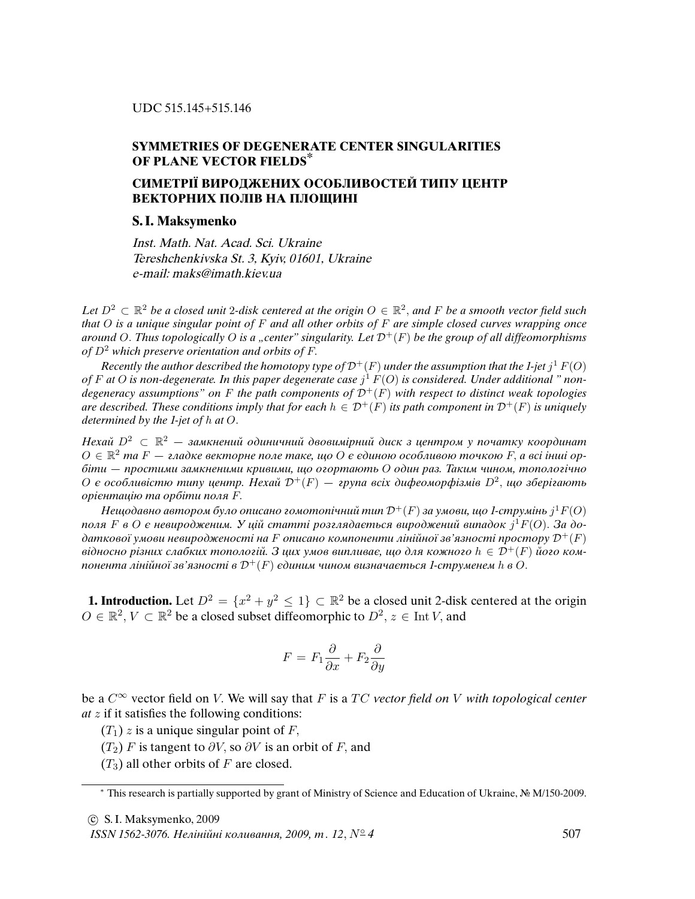## **SYMMETRIES OF DEGENERATE CENTER SINGULARITIES OF PLANE VECTOR FIELDS\***

## **СИМЕТРIЇ ВИРОДЖЕНИХ ОСОБЛИВОСТЕЙ ТИПУ ЦЕНТР ВЕКТОРНИХ ПОЛIВ НА ПЛОЩИНI**

## **S. I. Maksymenko**

Inst. Math. Nat. Acad. Sci. Ukraine Tereshchenkivska St. 3, Kyiv, 01601, Ukraine e-mail: maks@imath.kiev.ua

Let  $D^2 \subset \mathbb{R}^2$  be a closed unit 2-disk centered at the origin  $O \in \mathbb{R}^2$ , and F be a smooth vector field such that  $O$  is a unique singular point of  $F$  and all other orbits of  $F$  are simple closed curves wrapping once around O. Thus topologically O is a "center" singularity. Let  $\mathcal{D}^+(F)$  be the group of all diffeomorphisms of  $D^2$  which preserve orientation and orbits of F.

Recently the author described the homotopy type of  ${\cal D}^+(F)$  under the assumption that the 1-jet  $j^1$   $F(O)$ of F at O is non-degenerate. In this paper degenerate case  $j^1$  F(O) is considered. Under additional " nondegeneracy assumptions" on F the path components of  $\mathcal{D}^+(F)$  with respect to distinct weak topologies are described. These conditions imply that for each  $h \in \mathcal{D}^+(F)$  its path component in  $\mathcal{D}^+(F)$  is uniquely determined by the 1-jet of h at O.

Нехай D<sup>2</sup> ⊂ R <sup>2</sup> *—* замкнений одиничний двовимiрний диск з центром у початку координат O ∈ R <sup>2</sup> та F *—* гладке векторне поле таке, що O є єдиною особливою точкою F, а всi iншi орбiти *—* простими замкненими кривими, що огортають O один раз. Таким чином, топологiчно  $O$  є особливістю типу центр. Нехай  $\mathcal{D}^{+}(F)$  — група всіх дифеоморфізмів  $D^2$ , що зберігають орiєнтацiю та орбiти поля F.

Нещодавно автором було описано гомотопічний тип  ${\mathcal D}^+(F)$  за умови, що 1-струмінь  $j^1 F(O)$ поля F в O є невиродженим. У цій статті розглядається вироджений випадок  $j^1F(O)$ . За додаткової умови невиродженості на F описано компоненти лінійної зв'язності простору  $\mathcal{D}^+(F)$ відносно різних слабких топологій. З цих умов випливає, що для кожного  $h \in \mathcal{D}^+(F)$  його компонента лінійної зв'язності в  $\mathcal{D}^+(F)$  єдиним чином визначається 1-струменем h в O.

**1. Introduction.** Let  $D^2 = \{x^2 + y^2 \le 1\} \subset \mathbb{R}^2$  be a closed unit 2-disk centered at the origin  $O \in \mathbb{R}^2$ ,  $V \subset \mathbb{R}^2$  be a closed subset diffeomorphic to  $D^2$ ,  $z \in$  Int V, and

$$
F = F_1 \frac{\partial}{\partial x} + F_2 \frac{\partial}{\partial y}
$$

be a  $C^{\infty}$  vector field on V. We will say that F is a TC vector field on V with topological center  $at z$  if it satisfies the following conditions:

 $(T_1)$  z is a unique singular point of F,

- $(T_2)$  F is tangent to  $\partial V$ , so  $\partial V$  is an orbit of F, and
- $(T_3)$  all other orbits of F are closed.

ISSN 1562-3076. Нелінійні коливання, 2009, т. 12,  $N^{\circ}4$  507

<sup>∗</sup> This research is partially supported by grant of Ministry of Science and Education of Ukraine, № M/150-2009.

c S. I. Maksymenko, 2009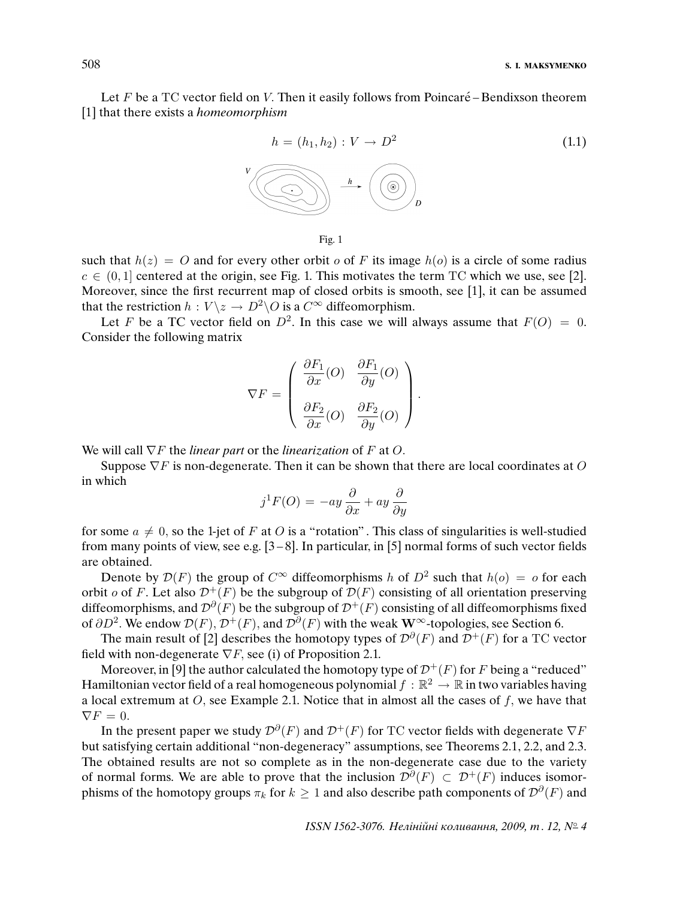Let  $F$  be a TC vector field on V. Then it easily follows from Poincaré – Bendixson theorem [1] that there exists a *homeomorphism* 



Fig. 1

such that  $h(z) = O$  and for every other orbit o of F its image  $h(o)$  is a circle of some radius  $c \in (0, 1]$  centered at the origin, see Fig. 1. This motivates the term TC which we use, see [2]. Moreover, since the first recurrent map of closed orbits is smooth, see [1], it can be assumed that the restriction  $h : V \backslash z \to D^2 \backslash O$  is a  $C^{\infty}$  diffeomorphism.

Let F be a TC vector field on  $D^2$ . In this case we will always assume that  $F(O) = 0$ . Consider the following matrix

$$
\nabla F = \left( \begin{array}{cc} \frac{\partial F_1}{\partial x}(O) & \frac{\partial F_1}{\partial y}(O) \\ \\ \frac{\partial F_2}{\partial x}(O) & \frac{\partial F_2}{\partial y}(O) \end{array} \right).
$$

We will call  $\nabla F$  the *linear part* or the *linearization* of F at O.

Suppose  $\nabla F$  is non-degenerate. Then it can be shown that there are local coordinates at O in which

$$
j^{1}F(O) = -ay\frac{\partial}{\partial x} + ay\frac{\partial}{\partial y}
$$

for some  $a \neq 0$ , so the 1-jet of F at O is a "rotation". This class of singularities is well-studied from many points of view, see e.g.  $[3-8]$ . In particular, in [5] normal forms of such vector fields are obtained.

Denote by  $\mathcal{D}(F)$  the group of  $C^{\infty}$  diffeomorphisms h of  $D^2$  such that  $h(o) = o$  for each orbit o of F. Let also  $\mathcal{D}^+(F)$  be the subgroup of  $\mathcal{D}(F)$  consisting of all orientation preserving diffeomorphisms, and  $\mathcal{D}^{\partial}(F)$  be the subgroup of  $\mathcal{D}^+(F)$  consisting of all diffeomorphisms fixed of  $\partial D^2$ . We endow  $\mathcal{D}(F)$ ,  $\mathcal{D}^+(F)$ , and  $\mathcal{D}^{\partial}(F)$  with the weak W<sup>∞</sup>-topologies, see Section 6.

The main result of [2] describes the homotopy types of  $\mathcal{D}^{\partial}(F)$  and  $\mathcal{D}^+(F)$  for a TC vector field with non-degenerate  $\nabla F$ , see (i) of Proposition 2.1.

Moreover, in [9] the author calculated the homotopy type of  $\mathcal{D}^+(F)$  for F being a "reduced" Hamiltonian vector field of a real homogeneous polynomial  $f : \mathbb{R}^2 \to \mathbb{R}$  in two variables having a local extremum at  $O$ , see Example 2.1. Notice that in almost all the cases of  $f$ , we have that  $\nabla F = 0.$ 

In the present paper we study  $\mathcal{D}^{\partial}(F)$  and  $\mathcal{D}^+(F)$  for TC vector fields with degenerate  $\nabla F$ but satisfying certain additional "non-degeneracy" assumptions, see Theorems 2.1, 2.2, and 2.3. The obtained results are not so complete as in the non-degenerate case due to the variety of normal forms. We are able to prove that the inclusion  $\mathcal{D}^{\partial}(F) \subset \mathcal{D}^+(F)$  induces isomorphisms of the homotopy groups  $\pi_k$  for  $k\geq 1$  and also describe path components of  ${\mathcal D}^{\partial}(F)$  and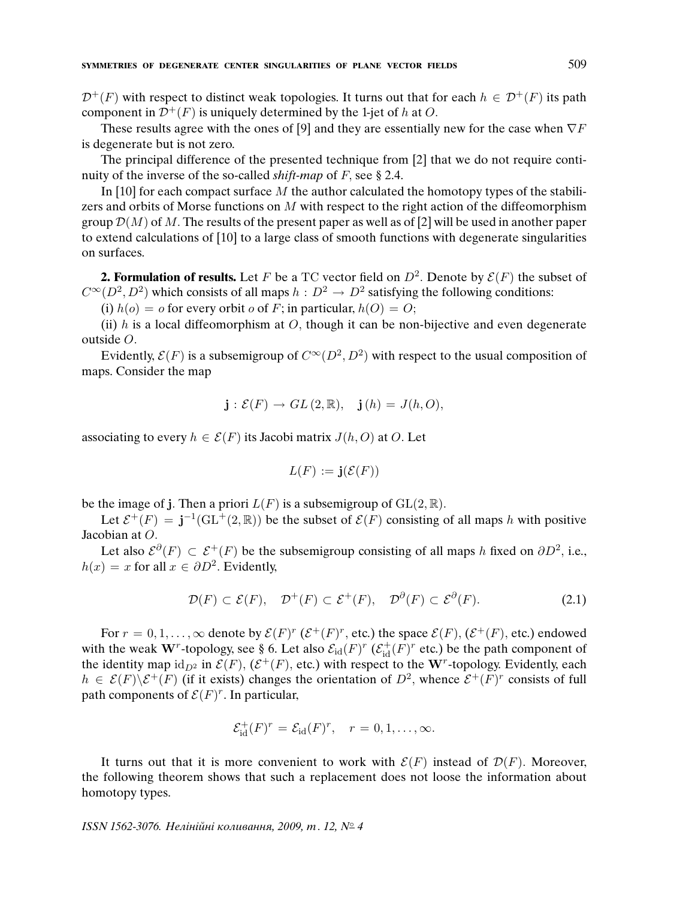$\mathcal{D}^+(F)$  with respect to distinct weak topologies. It turns out that for each  $h \in \mathcal{D}^+(F)$  its path component in  $\mathcal{D}^{+}(F)$  is uniquely determined by the 1-jet of h at O.

These results agree with the ones of [9] and they are essentially new for the case when  $\nabla F$ is degenerate but is not zero.

The principal difference of the presented technique from [2] that we do not require continuity of the inverse of the so-called *shift-map* of  $F$ , see § 2.4.

In [10] for each compact surface M the author calculated the homotopy types of the stabilizers and orbits of Morse functions on  $M$  with respect to the right action of the diffeomorphism group  $\mathcal{D}(M)$  of M. The results of the present paper as well as of [2] will be used in another paper to extend calculations of [10] to a large class of smooth functions with degenerate singularities on surfaces.

**2. Formulation of results.** Let F be a TC vector field on  $D^2$ . Denote by  $\mathcal{E}(F)$  the subset of  $C^{\infty}(D^2, D^2)$  which consists of all maps  $h : D^2 \to D^2$  satisfying the following conditions:

(i)  $h(o) = o$  for every orbit *o* of *F*; in particular,  $h(O) = O$ ;

(ii)  $h$  is a local diffeomorphism at  $O$ , though it can be non-bijective and even degenerate outside O.

Evidently,  $\mathcal{E}(F)$  is a subsemigroup of  $C^{\infty}(D^2, D^2)$  with respect to the usual composition of maps. Consider the map

$$
\mathbf{j}: \mathcal{E}(F) \to GL(2,\mathbb{R}), \quad \mathbf{j}(h) = J(h,O),
$$

associating to every  $h \in \mathcal{E}(F)$  its Jacobi matrix  $J(h, O)$  at O. Let

$$
L(F) := \mathbf{j}(\mathcal{E}(F))
$$

be the image of j. Then a priori  $L(F)$  is a subsemigroup of  $GL(2, \mathbb{R})$ .

Let  $\mathcal{E}^+(F) = \mathbf{j}^{-1}(\text{GL}^+(2,\mathbb{R}))$  be the subset of  $\mathcal{E}(F)$  consisting of all maps h with positive Jacobian at O.

Let also  $\mathcal{E}^{\partial}(F) \subset \mathcal{E}^+(F)$  be the subsemigroup consisting of all maps h fixed on  $\partial D^2$ , i.e.,  $h(x) = x$  for all  $x \in \partial D^2$ . Evidently,

$$
\mathcal{D}(F) \subset \mathcal{E}(F), \quad \mathcal{D}^+(F) \subset \mathcal{E}^+(F), \quad \mathcal{D}^{\partial}(F) \subset \mathcal{E}^{\partial}(F). \tag{2.1}
$$

For  $r = 0, 1, \ldots, \infty$  denote by  $\mathcal{E}(F)^r$  ( $\mathcal{E}^+(F)^r$ , etc.) the space  $\mathcal{E}(F)$ , ( $\mathcal{E}^+(F)$ , etc.) endowed with the weak W<sup>r</sup>-topology, see § 6. Let also  $\mathcal{E}_{\text{id}}(F)^r$  ( $\mathcal{E}_{\text{id}}^+(F)^r$  etc.) be the path component of the identity map  $id_{D^2}$  in  $\mathcal{E}(F)$ ,  $(\mathcal{E}^+(F))$ , etc.) with respect to the W<sup>r</sup>-topology. Evidently, each  $h \in \mathcal{E}(F) \backslash \mathcal{E}^+(F)$  (if it exists) changes the orientation of  $D^2$ , whence  $\mathcal{E}^+(F)^r$  consists of full path components of  $\mathcal{E}(F)^r$ . In particular,

$$
\mathcal{E}_{\mathrm{id}}^+(F)^r = \mathcal{E}_{\mathrm{id}}(F)^r, \quad r = 0, 1, \ldots, \infty.
$$

It turns out that it is more convenient to work with  $\mathcal{E}(F)$  instead of  $\mathcal{D}(F)$ . Moreover, the following theorem shows that such a replacement does not loose the information about homotopy types.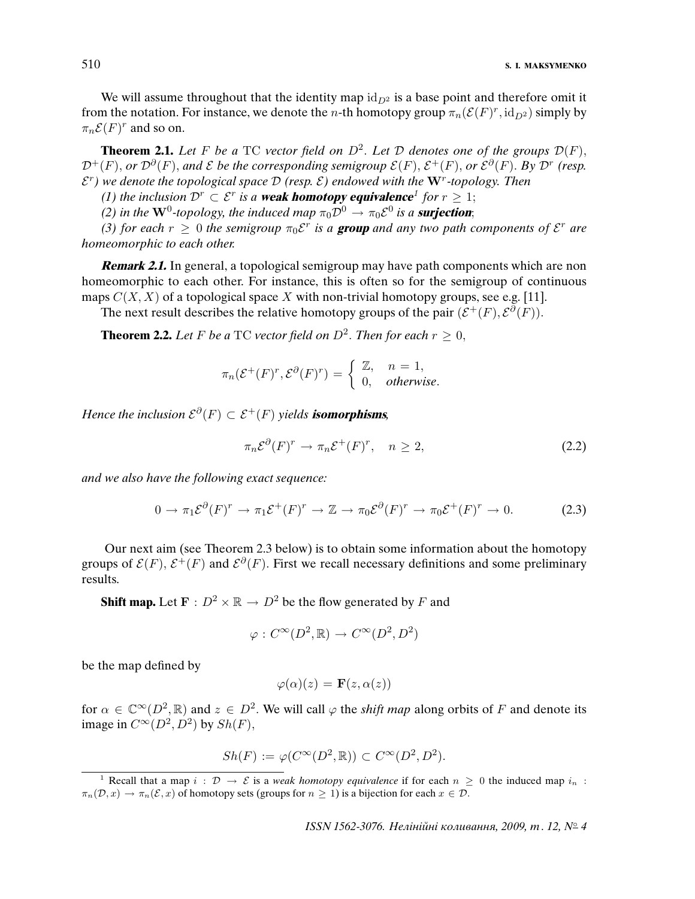We will assume throughout that the identity map  $id_{D^2}$  is a base point and therefore omit it from the notation. For instance, we denote the *n*-th homotopy group  $\pi_n(\mathcal{E}(F)^r, \text{id}_{D^2})$  simply by  $\pi_n \mathcal{E}(F)^r$  and so on.

**Theorem 2.1.** Let F be a TC vector field on  $D^2$ . Let D denotes one of the groups  $\mathcal{D}(F)$ ,  ${\cal D}^+(F)$ , or  ${\cal D}^{\partial}(F)$ , and  ${\cal E}$  be the corresponding semigroup  ${\cal E}(F),$   ${\cal E}^+(F),$  or  ${\cal E}^{\partial}(F)$ . By  ${\cal D}^r$  (resp.  $\mathcal{E}^r$ ) we denote the topological space  $\mathcal{D}$  (resp.  $\mathcal{E}$ ) endowed with the  $\mathbf{W}^r$ -topology. Then

(1) the inclusion  $\mathcal{D}^r \subset \mathcal{E}^r$  is a **weak homotopy equivalence**<sup>1</sup> for  $r \geq 1$ ;

(2) in the  $W^0$ -topology, the induced map  $\pi_0 \mathcal{D}^0 \to \pi_0 \mathcal{E}^0$  is a **surjection**;

(3) for each  $r \geq 0$  the semigroup  $\pi_0 \mathcal{E}^r$  is a **group** and any two path components of  $\mathcal{E}^r$  are homeomorphic to each other.

**Remark 2.1.** In general, a topological semigroup may have path components which are non homeomorphic to each other. For instance, this is often so for the semigroup of continuous maps  $C(X, X)$  of a topological space X with non-trivial homotopy groups, see e.g. [11].

The next result describes the relative homotopy groups of the pair  $(\mathcal{E}^+(F), \mathcal{E}^{\partial}(F))$ .

**Theorem 2.2.** Let F be a TC vector field on  $D^2$ . Then for each  $r \geq 0$ ,

$$
\pi_n(\mathcal{E}^+(F)^r, \mathcal{E}^{\partial}(F)^r) = \begin{cases} \mathbb{Z}, & n = 1, \\ 0, & otherwise. \end{cases}
$$

Hence the inclusion  $\mathcal{E}^{\partial}(F) \subset \mathcal{E}^+(F)$  yields **isomorphisms**,

$$
\pi_n \mathcal{E}^\partial(F)^r \to \pi_n \mathcal{E}^+(F)^r, \quad n \ge 2,
$$
\n(2.2)

and we also have the following exact sequence:

$$
0 \to \pi_1 \mathcal{E}^{\partial}(F)^r \to \pi_1 \mathcal{E}^+(F)^r \to \mathbb{Z} \to \pi_0 \mathcal{E}^{\partial}(F)^r \to \pi_0 \mathcal{E}^+(F)^r \to 0.
$$
 (2.3)

Our next aim (see Theorem 2.3 below) is to obtain some information about the homotopy groups of  $\mathcal{E}(F)$ ,  $\mathcal{E}^+(F)$  and  $\mathcal{E}^{\partial}(F)$ . First we recall necessary definitions and some preliminary results.

**Shift map.** Let  $\mathbf{F} : D^2 \times \mathbb{R} \to D^2$  be the flow generated by F and

$$
\varphi : C^{\infty}(D^2, \mathbb{R}) \to C^{\infty}(D^2, D^2)
$$

be the map defined by

$$
\varphi(\alpha)(z) = \mathbf{F}(z, \alpha(z))
$$

for  $\alpha \in \mathbb{C}^{\infty}(D^2, \mathbb{R})$  and  $z \in D^2$ . We will call  $\varphi$  the *shift map* along orbits of F and denote its image in  $C^{\infty}(D^2, D^2)$  by  $Sh(F)$ ,

$$
Sh(F) := \varphi(C^{\infty}(D^2, \mathbb{R})) \subset C^{\infty}(D^2, D^2).
$$

<sup>&</sup>lt;sup>1</sup> Recall that a map  $i : \mathcal{D} \to \mathcal{E}$  is a *weak homotopy equivalence* if for each  $n \geq 0$  the induced map  $i_n$ :  $\pi_n(\mathcal{D}, x) \to \pi_n(\mathcal{E}, x)$  of homotopy sets (groups for  $n \geq 1$ ) is a bijection for each  $x \in \mathcal{D}$ .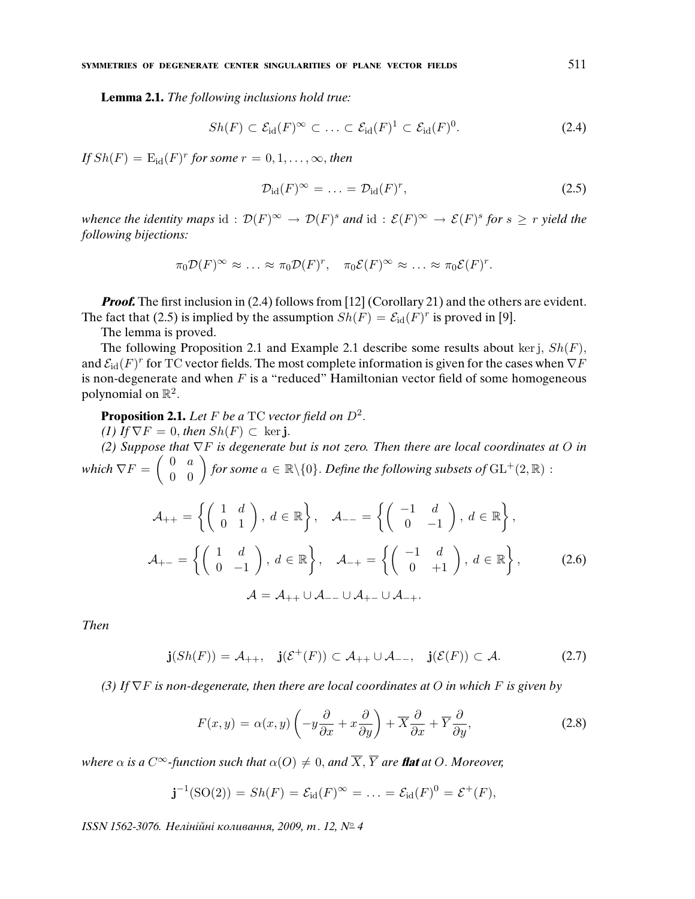**Lemma 2.1.** The following inclusions hold true:

$$
Sh(F) \subset \mathcal{E}_{\text{id}}(F)^\infty \subset \ldots \subset \mathcal{E}_{\text{id}}(F)^1 \subset \mathcal{E}_{\text{id}}(F)^0. \tag{2.4}
$$

If  $Sh(F) = \mathrm{E}_{\mathrm{id}}(F)^r$  for some  $r = 0, 1, \ldots, \infty$ , then

$$
\mathcal{D}_{\text{id}}(F)^{\infty} = \ldots = \mathcal{D}_{\text{id}}(F)^{r}, \qquad (2.5)
$$

whence the identity maps id:  $\mathcal{D}(F)^\infty \to \mathcal{D}(F)^s$  and id:  $\mathcal{E}(F)^\infty \to \mathcal{E}(F)^s$  for  $s \geq r$  yield the following bijections:

$$
\pi_0 \mathcal{D}(F)^\infty \approx \ldots \approx \pi_0 \mathcal{D}(F)^r, \quad \pi_0 \mathcal{E}(F)^\infty \approx \ldots \approx \pi_0 \mathcal{E}(F)^r.
$$

*Proof.* The first inclusion in (2.4) follows from [12] (Corollary 21) and the others are evident. The fact that (2.5) is implied by the assumption  $Sh(F) = \mathcal{E}_{\text{id}}(F)^r$  is proved in [9].

The lemma is proved.

The following Proposition 2.1 and Example 2.1 describe some results about ker j,  $Sh(F)$ , and  $\mathcal{E}_\mathrm{id}(F)^r$  for TC vector fields. The most complete information is given for the cases when  $\nabla F$ is non-degenerate and when  $F$  is a "reduced" Hamiltonian vector field of some homogeneous polynomial on  $\mathbb{R}^2$ .

**Proposition 2.1.** Let F be a TC vector field on  $D^2$ .

(1) If  $\nabla F = 0$ , then  $Sh(F) \subset \text{ker } \mathbf{j}$ .

(2) Suppose that  $\nabla F$  is degenerate but is not zero. Then there are local coordinates at O in which  $\nabla F=\left(\begin{array}{cc} 0 & a \ 0 & 0 \end{array}\right)$  for some  $a\in\mathbb{R}\backslash\{0\}.$  Define the following subsets of  $\mathrm{GL}^+(2,\mathbb{R})$  :

$$
\mathcal{A}_{++} = \left\{ \begin{pmatrix} 1 & d \\ 0 & 1 \end{pmatrix}, \, d \in \mathbb{R} \right\}, \quad \mathcal{A}_{--} = \left\{ \begin{pmatrix} -1 & d \\ 0 & -1 \end{pmatrix}, \, d \in \mathbb{R} \right\},
$$
\n
$$
\mathcal{A}_{+-} = \left\{ \begin{pmatrix} 1 & d \\ 0 & -1 \end{pmatrix}, \, d \in \mathbb{R} \right\}, \quad \mathcal{A}_{-+} = \left\{ \begin{pmatrix} -1 & d \\ 0 & +1 \end{pmatrix}, \, d \in \mathbb{R} \right\}, \quad (2.6)
$$
\n
$$
\mathcal{A} = \mathcal{A}_{++} \cup \mathcal{A}_{--} \cup \mathcal{A}_{+-} \cup \mathcal{A}_{-+}.
$$

Then

$$
\mathbf{j}(Sh(F)) = \mathcal{A}_{++}, \quad \mathbf{j}(\mathcal{E}^+(F)) \subset \mathcal{A}_{++} \cup \mathcal{A}_{--}, \quad \mathbf{j}(\mathcal{E}(F)) \subset \mathcal{A}.\tag{2.7}
$$

(3) If  $\nabla F$  is non-degenerate, then there are local coordinates at O in which F is given by

$$
F(x,y) = \alpha(x,y) \left( -y \frac{\partial}{\partial x} + x \frac{\partial}{\partial y} \right) + \overline{X} \frac{\partial}{\partial x} + \overline{Y} \frac{\partial}{\partial y},\tag{2.8}
$$

where  $\alpha$  is a  $C^{\infty}$ -function such that  $\alpha(O) \neq 0$ , and  $\overline{X}, \overline{Y}$  are **flat** at O. Moreover,

$$
\mathbf{j}^{-1}(\mathrm{SO}(2)) = Sh(F) = \mathcal{E}_{\mathrm{id}}(F)^{\infty} = \ldots = \mathcal{E}_{\mathrm{id}}(F)^0 = \mathcal{E}^+(F),
$$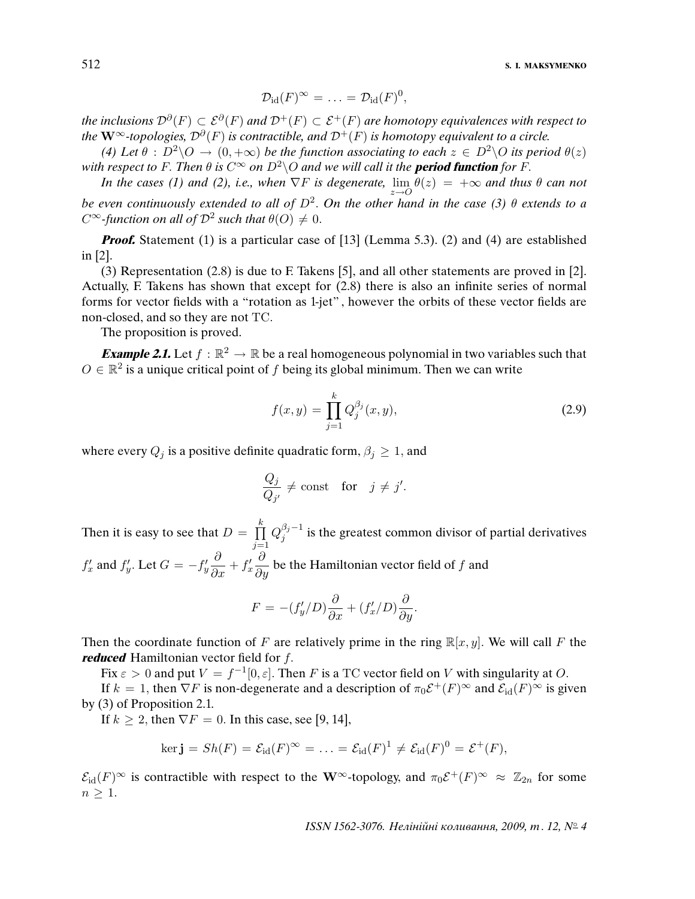512 **S. I. MAKSYMENKO**

$$
\mathcal{D}_{\mathrm{id}}(F)^\infty = \ldots = \mathcal{D}_{\mathrm{id}}(F)^0,
$$

the inclusions  ${\cal D} ^{\partial}(F)\subset{\cal E} ^{\partial}(F)$  and  ${\cal D}^+(F)\subset{\cal E}^+(F)$  are homotopy equivalences with respect to the  $\mathbf{W}^\infty$ -topologies,  $\mathcal{D}^\partial(F)$  is contractible, and  $\mathcal{D}^+(F)$  is homotopy equivalent to a circle.

(4) Let  $\theta : D^2 \backslash O \rightarrow (0, +\infty)$  be the function associating to each  $z \in D^2 \backslash O$  its period  $\theta(z)$ with respect to F. Then  $\theta$  is  $C^{\infty}$  on  $D^2\setminus O$  and we will call it the **period function** for F.

In the cases (1) and (2), i.e., when  $\nabla F$  is degenerate,  $\lim_{n \to \infty} \theta(z) = +\infty$  and thus  $\theta$  can not be even continuously extended to all of  $D^2$ . On the other hand in the case (3)  $\theta$  extends to a  $C^{\infty}$ -function on all of  $\mathcal{D}^{2}$  such that  $\theta(O) \neq 0$ .

*Proof.* Statement (1) is a particular case of [13] (Lemma 5.3). (2) and (4) are established in [2].

(3) Representation (2.8) is due to F. Takens [5], and all other statements are proved in [2]. Actually, F. Takens has shown that except for (2.8) there is also an infinite series of normal forms for vector fields with a "rotation as 1-jet" , however the orbits of these vector fields are non-closed, and so they are not TC.

The proposition is proved.

**Example 2.1.** Let  $f : \mathbb{R}^2 \to \mathbb{R}$  be a real homogeneous polynomial in two variables such that  $O \in \mathbb{R}^2$  is a unique critical point of f being its global minimum. Then we can write

$$
f(x,y) = \prod_{j=1}^{k} Q_j^{\beta_j}(x,y),
$$
\n(2.9)

where every  $Q_i$  is a positive definite quadratic form,  $\beta_i \geq 1$ , and

$$
\frac{Q_j}{Q_{j'}} \neq \text{const} \quad \text{for} \quad j \neq j'.
$$

Then it is easy to see that  $D = \prod_{i=1}^{k}$  $j=1$  $Q_{i}^{\beta _{j}-1}$  $j_j^{\nu_j-1}$  is the greatest common divisor of partial derivatives  $f'_x$  and  $f'_y$ . Let  $G = -f'_y$  $\frac{\partial}{\partial x} + f'_x$  $\frac{\partial}{\partial y}$  be the Hamiltonian vector field of f and

$$
F = -(f_y'/D)\frac{\partial}{\partial x} + (f_x'/D)\frac{\partial}{\partial y}.
$$

Then the coordinate function of F are relatively prime in the ring  $\mathbb{R}[x, y]$ . We will call F the **reduced** Hamiltonian vector field for f.

Fix  $\varepsilon > 0$  and put  $V = f^{-1}[0, \varepsilon]$ . Then F is a TC vector field on V with singularity at O.

If  $k = 1$ , then  $\nabla F$  is non-degenerate and a description of  $\pi_0 \mathcal{E}^+(F)^\infty$  and  $\mathcal{E}_\text{id}(F)^\infty$  is given by (3) of Proposition 2.1.

If  $k \geq 2$ , then  $\nabla F = 0$ . In this case, see [9, 14],

$$
\ker \mathbf{j} = Sh(F) = \mathcal{E}_{\mathrm{id}}(F)^{\infty} = \ldots = \mathcal{E}_{\mathrm{id}}(F)^{1} \neq \mathcal{E}_{\mathrm{id}}(F)^{0} = \mathcal{E}^{+}(F),
$$

 $\mathcal{E}_{\text{id}}(F)^\infty$  is contractible with respect to the W<sup>∞</sup>-topology, and  $\pi_0 \mathcal{E}^+(F)^\infty \approx \mathbb{Z}_{2n}$  for some  $n \geq 1$ .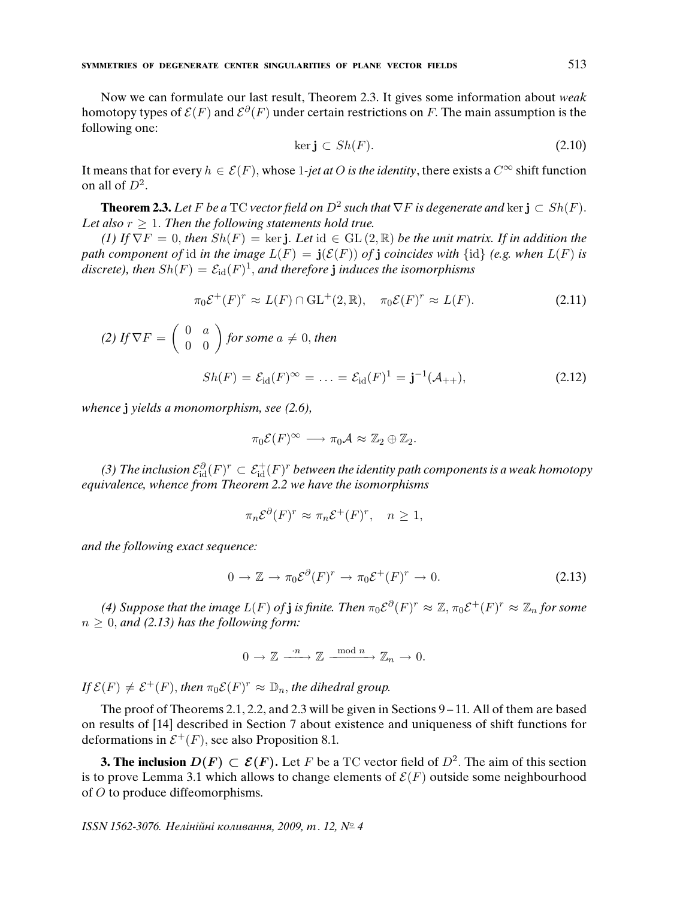Now we can formulate our last result, Theorem 2.3. It gives some information about weak homotopy types of  $\mathcal{E}(F)$  and  $\mathcal{E}^{\partial}(F)$  under certain restrictions on F. The main assumption is the following one:

$$
\ker \mathbf{j} \subset Sh(F). \tag{2.10}
$$

It means that for every  $h \in \mathcal{E}(F)$ , whose 1-jet at O is the identity, there exists a  $C^{\infty}$  shift function on all of  $D^2$ .

**Theorem 2.3.** Let F be a TC vector field on  $D^2$  such that  $\nabla F$  is degenerate and ker  $\mathbf{j} \subset Sh(F)$ . Let also  $r \geq 1$ . Then the following statements hold true.

(1) If  $\nabla F = 0$ , then  $Sh(F) = \text{ker } j$ . Let  $id \in GL(2, \mathbb{R})$  be the unit matrix. If in addition the path component of id in the image  $L(F) = j(\mathcal{E}(F))$  of j coincides with  $\{id\}$  (e.g. when  $L(F)$  is discrete), then  $Sh(F)=\mathcal{E}_{\rm id}(F)^1$ , and therefore  ${\bf j}$  induces the isomorphisms

$$
\pi_0 \mathcal{E}^+(F)^r \approx L(F) \cap \mathrm{GL}^+(2,\mathbb{R}), \quad \pi_0 \mathcal{E}(F)^r \approx L(F). \tag{2.11}
$$

(2) If 
$$
\nabla F = \begin{pmatrix} 0 & a \\ 0 & 0 \end{pmatrix}
$$
 for some  $a \neq 0$ , then

$$
Sh(F) = \mathcal{E}_{\mathrm{id}}(F)^{\infty} = \ldots = \mathcal{E}_{\mathrm{id}}(F)^{1} = \mathbf{j}^{-1}(\mathcal{A}_{++}), \tag{2.12}
$$

whence *j* yields a monomorphism, see (2.6),

$$
\pi_0 \mathcal{E}(F)^\infty \longrightarrow \pi_0 \mathcal{A} \approx \mathbb{Z}_2 \oplus \mathbb{Z}_2.
$$

(3) The inclusion  $\mathcal{E}^\partial_\text{id}(F)^r\subset \mathcal{E}^+_\text{id}(F)^r$  between the identity path components is a weak homotopy equivalence, whence from Theorem 2.2 we have the isomorphisms

$$
\pi_n \mathcal{E}^{\partial}(F)^r \approx \pi_n \mathcal{E}^+(F)^r, \quad n \ge 1,
$$

and the following exact sequence:

$$
0 \to \mathbb{Z} \to \pi_0 \mathcal{E}^{\partial}(F)^r \to \pi_0 \mathcal{E}^+(F)^r \to 0.
$$
 (2.13)

(4) Suppose that the image  $L(F)$  of **j** is finite. Then  $\pi_0 \mathcal{E}^{\partial}(F)^r \approx \mathbb{Z}, \pi_0 \mathcal{E}^+(F)^r \approx \mathbb{Z}_n$  for some  $n \geq 0$ , and (2.13) has the following form:

$$
0 \to \mathbb{Z} \xrightarrow{\cdot n} \mathbb{Z} \xrightarrow{\mod n} \mathbb{Z}_n \to 0.
$$

If  $\mathcal{E}(F) \neq \mathcal{E}^+(F)$ , then  $\pi_0 \mathcal{E}(F)^r \approx \mathbb{D}_n$ , the dihedral group.

The proof of Theorems 2.1, 2.2, and 2.3 will be given in Sections 9 – 11. All of them are based on results of [14] described in Section 7 about existence and uniqueness of shift functions for deformations in  $\mathcal{E}^+(F)$ , see also Proposition 8.1.

**3. The inclusion**  $D(F) \subset \mathcal{E}(F)$ . Let F be a TC vector field of  $D^2$ . The aim of this section is to prove Lemma 3.1 which allows to change elements of  $\mathcal{E}(F)$  outside some neighbourhood of O to produce diffeomorphisms.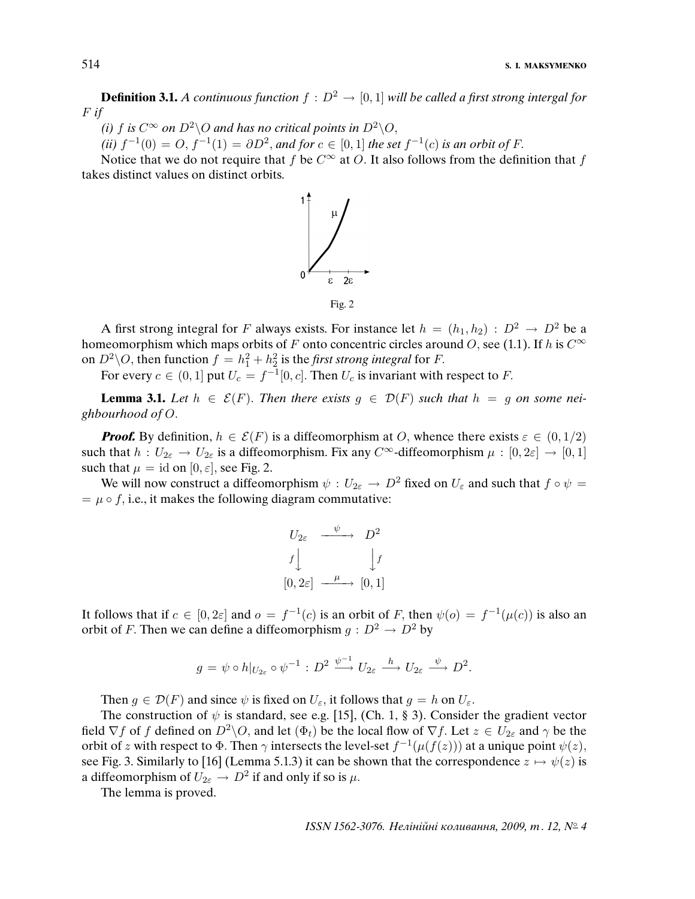**Definition 3.1.** A continuous function  $f : D^2 \to [0, 1]$  will be called a first strong intergal for  $F$  if

(i) f is  $C^{\infty}$  on  $D^2\setminus O$  and has no critical points in  $D^2\setminus O$ ,

(ii)  $f^{-1}(0) = O, f^{-1}(1) = \partial D^2$ , and for  $c \in [0, 1]$  the set  $f^{-1}(c)$  is an orbit of F.

Notice that we do not require that f be  $C^{\infty}$  at O. It also follows from the definition that f takes distinct values on distinct orbits.



A first strong integral for F always exists. For instance let  $h = (h_1, h_2) : D^2 \to D^2$  be a homeomorphism which maps orbits of F onto concentric circles around O, see (1.1). If h is  $C^{\infty}$ on  $D^2 \backslash O$ , then function  $f = h_1^2 + h_2^2$  is the *first strong integral* for *F*.

For every  $c \in (0,1]$  put  $U_c = f^{-1}[0,c]$ . Then  $U_c$  is invariant with respect to F.

**Lemma 3.1.** Let  $h \in \mathcal{E}(F)$ . Then there exists  $g \in \mathcal{D}(F)$  such that  $h = g$  on some neighbourhood of O.

**Proof.** By definition,  $h \in \mathcal{E}(F)$  is a diffeomorphism at O, whence there exists  $\varepsilon \in (0, 1/2)$ such that  $h: U_{2\varepsilon} \to U_{2\varepsilon}$  is a diffeomorphism. Fix any  $C^{\infty}$ -diffeomorphism  $\mu: [0, 2\varepsilon] \to [0, 1]$ such that  $\mu = \text{id}$  on  $[0, \varepsilon]$ , see Fig. 2.

We will now construct a diffeomorphism  $\psi : U_{2\varepsilon} \to D^2$  fixed on  $U_{\varepsilon}$  and such that  $f \circ \psi =$  $= \mu \circ f$ , i.e., it makes the following diagram commutative:

$$
U_{2\varepsilon} \xrightarrow{\psi} D^2
$$
  
 $f \downarrow \qquad \qquad \downarrow f$   
 $[0, 2\varepsilon] \xrightarrow{\mu} [0, 1]$ 

It follows that if  $c \in [0, 2\varepsilon]$  and  $o = f^{-1}(c)$  is an orbit of F, then  $\psi(o) = f^{-1}(\mu(c))$  is also an orbit of F. Then we can define a diffeomorphism  $g : D^2 \to D^2$  by

$$
g = \psi \circ h|_{U_{2\varepsilon}} \circ \psi^{-1} : D^2 \xrightarrow{\psi^{-1}} U_{2\varepsilon} \xrightarrow{h} U_{2\varepsilon} \xrightarrow{\psi} D^2.
$$

Then  $g \in \mathcal{D}(F)$  and since  $\psi$  is fixed on  $U_{\varepsilon}$ , it follows that  $g = h$  on  $U_{\varepsilon}$ .

The construction of  $\psi$  is standard, see e.g. [15], (Ch. 1, § 3). Consider the gradient vector field  $\nabla f$  of f defined on  $D^2 \setminus O$ , and let  $(\Phi_t)$  be the local flow of  $\nabla f$ . Let  $z \in U_{2\varepsilon}$  and  $\gamma$  be the orbit of z with respect to  $\Phi$ . Then  $\gamma$  intersects the level-set  $f^{-1}(\mu(f(z)))$  at a unique point  $\psi(z)$ , see Fig. 3. Similarly to [16] (Lemma 5.1.3) it can be shown that the correspondence  $z \mapsto \psi(z)$  is a diffeomorphism of  $U_{2\varepsilon}\to D^2$  if and only if so is  $\mu$ .

The lemma is proved.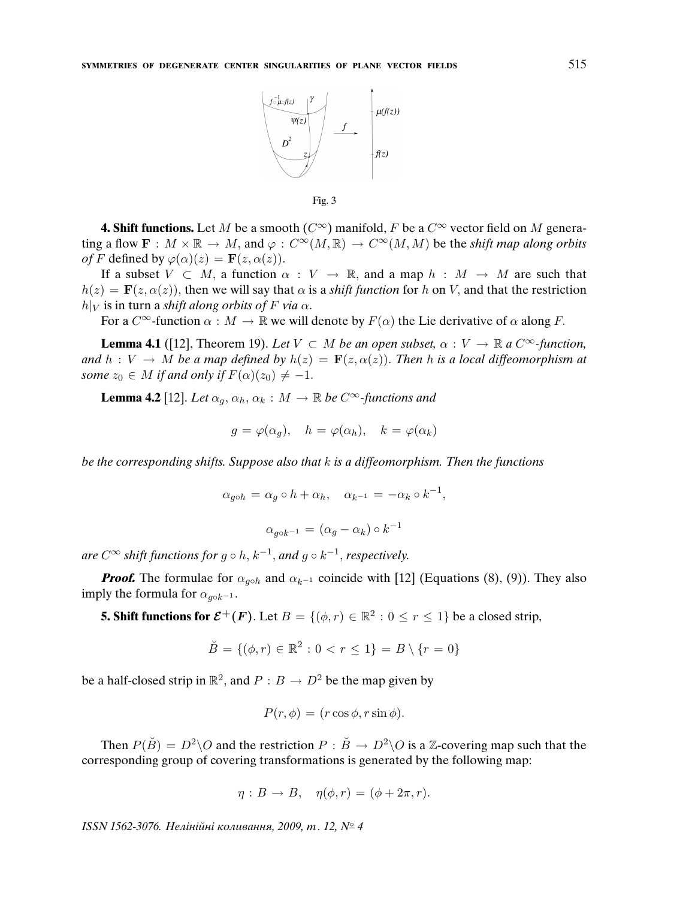

Fig. 3

**4. Shift functions.** Let M be a smooth ( $C^{\infty}$ ) manifold, F be a  $C^{\infty}$  vector field on M generating a flow  $\mathbf{F}: M \times \mathbb{R} \to M$ , and  $\varphi: C^{\infty}(M, \mathbb{R}) \to C^{\infty}(M, M)$  be the shift map along orbits of F defined by  $\varphi(\alpha)(z) = \mathbf{F}(z, \alpha(z)).$ 

If a subset  $V \subset M$ , a function  $\alpha : V \to \mathbb{R}$ , and a map  $h : M \to M$  are such that  $h(z) = \mathbf{F}(z, \alpha(z))$ , then we will say that  $\alpha$  is a *shift function* for h on V, and that the restriction  $h|_V$  is in turn a shift along orbits of F via  $\alpha$ .

For a  $C^{\infty}$ -function  $\alpha : M \to \mathbb{R}$  we will denote by  $F(\alpha)$  the Lie derivative of  $\alpha$  along F.

**Lemma 4.1** ([12], Theorem 19). Let  $V \subset M$  be an open subset,  $\alpha : V \to \mathbb{R}$  a  $C^{\infty}$ -function, and  $h: V \to M$  be a map defined by  $h(z) = \mathbf{F}(z, \alpha(z))$ . Then h is a local diffeomorphism at some  $z_0 \in M$  if and only if  $F(\alpha)(z_0) \neq -1$ .

**Lemma 4.2** [12]. Let  $\alpha_q$ ,  $\alpha_h$ ,  $\alpha_k$  :  $M \to \mathbb{R}$  be  $C^\infty$ -functions and

$$
g = \varphi(\alpha_g), \quad h = \varphi(\alpha_h), \quad k = \varphi(\alpha_k)
$$

be the corresponding shifts. Suppose also that  $k$  is a diffeomorphism. Then the functions

$$
\alpha_{g \circ h} = \alpha_g \circ h + \alpha_h, \quad \alpha_{k^{-1}} = -\alpha_k \circ k^{-1},
$$

$$
\alpha_{g \circ k^{-1}} = (\alpha_g - \alpha_k) \circ k^{-1}
$$

are  $C^{\infty}$  shift functions for  $g \circ h$ ,  $k^{-1}$ , and  $g \circ k^{-1}$ , respectively.

*Proof.* The formulae for  $\alpha_{q\circ h}$  and  $\alpha_{k^{-1}}$  coincide with [12] (Equations (8), (9)). They also imply the formula for  $\alpha_{a \circ k^{-1}}$ .

**5. Shift functions for**  $\mathcal{E}^+(F)$ . Let  $B = \{(\phi, r) \in \mathbb{R}^2 : 0 \le r \le 1\}$  be a closed strip,

$$
\breve{B} = \{ (\phi, r) \in \mathbb{R}^2 : 0 < r \le 1 \} = B \setminus \{ r = 0 \}
$$

be a half-closed strip in  $\mathbb{R}^2$ , and  $P : B \to D^2$  be the map given by

$$
P(r, \phi) = (r \cos \phi, r \sin \phi).
$$

Then  $P(\breve{B}) = D^2 \backslash O$  and the restriction  $P : \breve{B} \to D^2 \backslash O$  is a Z-covering map such that the corresponding group of covering transformations is generated by the following map:

$$
\eta: B \to B, \quad \eta(\phi, r) = (\phi + 2\pi, r).
$$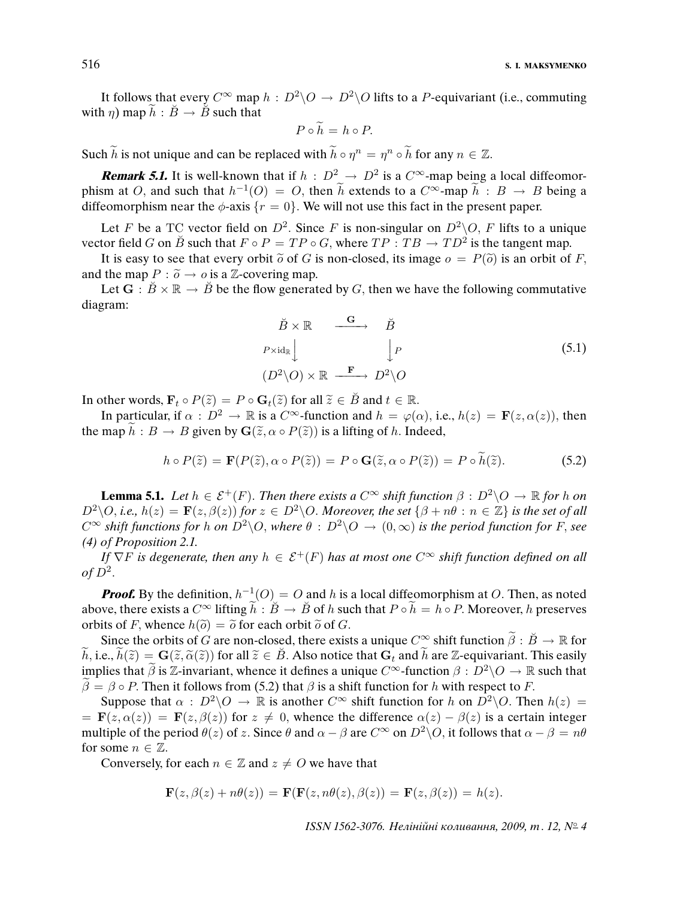It follows that every  $C^{\infty}$  map  $h : D^2 \backslash O \rightarrow D^2 \backslash O$  lifts to a P-equivariant (i.e., commuting with  $\eta$ ) map  $\widetilde{h}$  :  $\widetilde{B} \to \widetilde{B}$  such that

$$
P \circ \dot{h} = h \circ P.
$$

Such  $\tilde{h}$  is not unique and can be replaced with  $\tilde{h} \circ \eta^n = \eta^n \circ \tilde{h}$  for any  $n \in \mathbb{Z}$ .

**Remark 5.1.** It is well-known that if  $h : D^2 \to D^2$  is a  $C^{\infty}$ -map being a local diffeomorphism at O, and such that  $h^{-1}(O) = O$ , then  $\tilde{h}$  extends to a  $C^{\infty}$ -map  $\tilde{h}: B \to B$  being a diffeomorphism near the  $\phi$ -axis  $\{r = 0\}$ . We will not use this fact in the present paper.

Let F be a TC vector field on  $D^2$ . Since F is non-singular on  $D^2\backslash O$ , F lifts to a unique vector field G on  $\breve{B}$  such that  $F \circ P = TP \circ G$ , where  $TP : TB \to TD^2$  is the tangent map.

It is easy to see that every orbit  $\tilde{o}$  of G is non-closed, its image  $o = P(\tilde{o})$  is an orbit of F, and the map  $P : \tilde{o} \rightarrow o$  is a Z-covering map.

Let  $G : \overset{\sim}{B} \times \mathbb{R} \to \overset{\sim}{B}$  be the flow generated by G, then we have the following commutative diagram:

$$
\begin{array}{ccc}\n\breve{B} \times \mathbb{R} & \xrightarrow{\mathbf{G}} & \breve{B} \\
P \times \operatorname{id}_{\mathbb{R}} & & \downarrow P \\
(D^2 \setminus O) \times \mathbb{R} & \xrightarrow{\mathbf{F}} & D^2 \setminus O\n\end{array} \tag{5.1}
$$

In other words,  $\mathbf{F}_t \circ P(\tilde{z}) = P \circ \mathbf{G}_t(\tilde{z})$  for all  $\tilde{z} \in \tilde{B}$  and  $t \in \mathbb{R}$ .

In particular, if  $\alpha : D^2 \to \mathbb{R}$  is a  $C^{\infty}$ -function and  $h = \varphi(\alpha)$ , i.e.,  $h(z) = \mathbf{F}(z, \alpha(z))$ , then the map  $\widetilde{h}: B \to B$  given by  $\mathbf{G}(\widetilde{z}, \alpha \circ P(\widetilde{z}))$  is a lifting of h. Indeed,

$$
h \circ P(\tilde{z}) = \mathbf{F}(P(\tilde{z}), \alpha \circ P(\tilde{z})) = P \circ \mathbf{G}(\tilde{z}, \alpha \circ P(\tilde{z})) = P \circ h(\tilde{z}).
$$
 (5.2)

**Lemma 5.1.** Let  $h \in \mathcal{E}^+(F)$ . Then there exists a  $C^{\infty}$  shift function  $\beta : D^2 \backslash O \to \mathbb{R}$  for h on  $D^2\setminus O$ , i.e.,  $h(z) = \mathbf{F}(z,\beta(z))$  for  $z \in D^2\setminus O$ . Moreover, the set  $\{\beta+n\theta : n \in \mathbb{Z}\}\$ is the set of all  $C^{\infty}$  shift functions for h on  $D^2\setminus O$ , where  $\theta : D^2\setminus O \to (0,\infty)$  is the period function for F, see (4) of Proposition 2.1.

If  $\nabla F$  is degenerate, then any  $h \in \mathcal{E}^+(F)$  has at most one  $C^{\infty}$  shift function defined on all of  $D^2$ .

**Proof.** By the definition,  $h^{-1}(O) = O$  and h is a local diffeomorphism at O. Then, as noted above, there exists a  $C^{\infty}$  lifting  $\tilde{h}$  :  $\tilde{B} \to \tilde{B}$  of h such that  $P \circ \tilde{h} = h \circ P$ . Moreover, h preserves orbits of F, whence  $h(\tilde{\rho}) = \tilde{\rho}$  for each orbit  $\tilde{\rho}$  of G.

Since the orbits of G are non-closed, there exists a unique  $C^{\infty}$  shift function  $\tilde{\beta}: \check{B} \to \mathbb{R}$  for  $\widetilde{h}$ , i.e.,  $\widetilde{h}(\widetilde{z}) = \mathbf{G}(\widetilde{z}, \widetilde{\alpha}(\widetilde{z}))$  for all  $\widetilde{z} \in \widetilde{B}$ . Also notice that  $\mathbf{G}_t$  and  $\widetilde{h}$  are Z-equivariant. This easily implies that  $\tilde{\beta}$  is Z-invariant, whence it defines a unique  $C^{\infty}$ -function  $\beta : D^2 \backslash O \to \mathbb{R}$  such that  $\hat{\beta} = \beta \circ P$ . Then it follows from (5.2) that  $\beta$  is a shift function for h with respect to F.

Suppose that  $\alpha$  :  $D^2 \backslash O \to \mathbb{R}$  is another  $C^{\infty}$  shift function for h on  $D^2 \backslash O$ . Then  $h(z) =$  $= \mathbf{F}(z, \alpha(z)) = \mathbf{F}(z, \beta(z))$  for  $z \neq 0$ , whence the difference  $\alpha(z) - \beta(z)$  is a certain integer multiple of the period  $\theta(z)$  of z. Since  $\theta$  and  $\alpha - \beta$  are  $C^{\infty}$  on  $D^2 \setminus O$ , it follows that  $\alpha - \beta = n\theta$ for some  $n \in \mathbb{Z}$ .

Conversely, for each  $n \in \mathbb{Z}$  and  $z \neq O$  we have that

$$
\mathbf{F}(z,\beta(z)+n\theta(z)) = \mathbf{F}(\mathbf{F}(z,n\theta(z),\beta(z)) = \mathbf{F}(z,\beta(z)) = h(z).
$$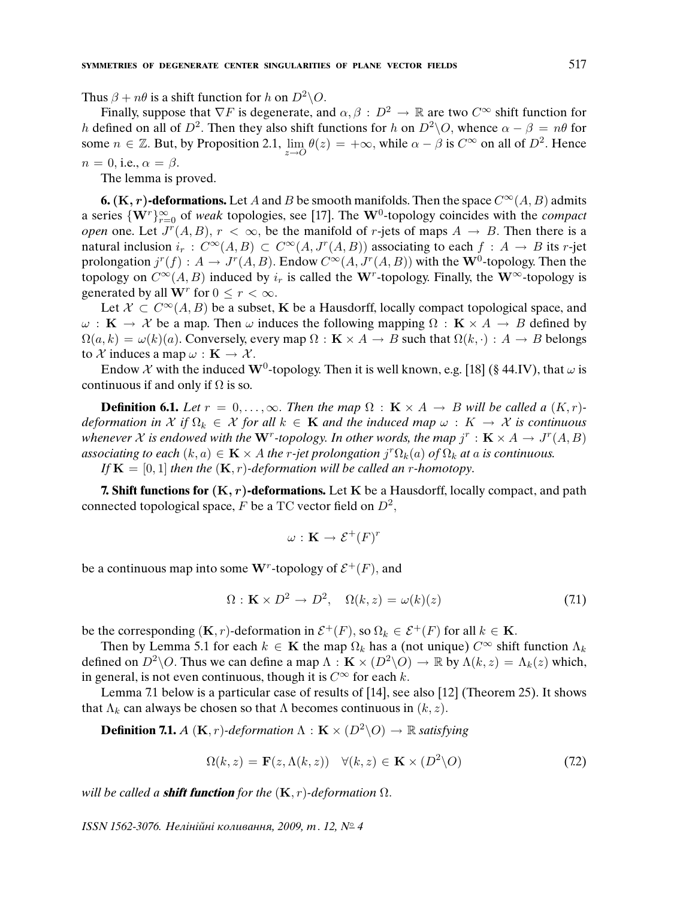Thus  $\beta + n\theta$  is a shift function for h on  $D^2 \backslash O$ .

Finally, suppose that  $\nabla F$  is degenerate, and  $\alpha, \beta : D^2 \to \mathbb{R}$  are two  $C^{\infty}$  shift function for h defined on all of  $D^2$ . Then they also shift functions for h on  $D^2\setminus O$ , whence  $\alpha - \beta = n\theta$  for some  $n \in \mathbb{Z}$ . But, by Proposition 2.1,  $\lim_{z \to 0} \theta(z) = +\infty$ , while  $\alpha - \beta$  is  $C^{\infty}$  on all of  $D^2$ . Hence  $n = 0$ , i.e.,  $\alpha = \beta$ .

The lemma is proved.

**6.** (K, r)-deformations. Let A and B be smooth manifolds. Then the space  $C^{\infty}(A, B)$  admits a series  $\{W^r\}_{r=0}^{\infty}$  of weak topologies, see [17]. The W<sup>0</sup>-topology coincides with the *compact open* one. Let  $J^r(A, B)$ ,  $r < \infty$ , be the manifold of r-jets of maps  $A \rightarrow B$ . Then there is a natural inclusion  $i_r : C^{\infty}(A, B) \subset C^{\infty}(A, J^r(A, B))$  associating to each  $f : A \to B$  its r-jet prolongation  $j^r(f) : A \to J^r(A, B)$ . Endow  $C^\infty(A, J^r(A, B))$  with the W<sup>0</sup>-topology. Then the topology on  $C^{\infty}(A, B)$  induced by  $i_r$  is called the W<sup>r</sup>-topology. Finally, the W<sup>∞</sup>-topology is generated by all  $\mathbf{W}^r$  for  $0 \leq r < \infty$ .

Let  $\mathcal{X} \subset C^{\infty}(A, B)$  be a subset, K be a Hausdorff, locally compact topological space, and  $\omega : K \to \mathcal{X}$  be a map. Then  $\omega$  induces the following mapping  $\Omega : K \times A \to B$  defined by  $\Omega(a, k) = \omega(k)(a)$ . Conversely, every map  $\Omega : \mathbf{K} \times A \to B$  such that  $\Omega(k, \cdot) : A \to B$  belongs to X induces a map  $\omega : \mathbf{K} \to \mathcal{X}$ .

Endow X with the induced W<sup>0</sup>-topology. Then it is well known, e.g. [18] (§ 44.IV), that  $\omega$  is continuous if and only if  $\Omega$  is so.

**Definition 6.1.** Let  $r = 0, \ldots, \infty$ . Then the map  $\Omega : \mathbf{K} \times A \rightarrow B$  will be called a  $(K, r)$ deformation in X if  $\Omega_k \in \mathcal{X}$  for all  $k \in \mathbf{K}$  and the induced map  $\omega : K \to \mathcal{X}$  is continuous whenever X is endowed with the  $W^r$ -topology. In other words, the map  $j^r : K \times A \to J^r(A, B)$ associating to each  $(k, a) \in \mathbf{K} \times A$  the r-jet prolongation  $j^r \Omega_k(a)$  of  $\Omega_k$  at a is continuous.

If  $\mathbf{K} = [0, 1]$  then the  $(\mathbf{K}, r)$ -deformation will be called an r-homotopy.

**7. Shift functions for** (K, r)**-deformations.** Let K be a Hausdorff, locally compact, and path connected topological space, F be a TC vector field on  $D^2$ ,

$$
\omega: \mathbf{K} \to \mathcal{E}^+(F)^r
$$

be a continuous map into some  $W^r$ -topology of  $\mathcal{E}^+(F)$ , and

$$
\Omega: \mathbf{K} \times D^2 \to D^2, \quad \Omega(k, z) = \omega(k)(z) \tag{7.1}
$$

be the corresponding  $(K, r)$ -deformation in  $\mathcal{E}^+(F)$ , so  $\Omega_k \in \mathcal{E}^+(F)$  for all  $k \in K$ .

Then by Lemma 5.1 for each  $k \in K$  the map  $\Omega_k$  has a (not unique)  $C^{\infty}$  shift function  $\Lambda_k$ defined on  $D^2 \backslash O$ . Thus we can define a map  $\Lambda : \mathbf{K} \times (D^2 \backslash O) \to \mathbb{R}$  by  $\Lambda(k, z) = \Lambda_k(z)$  which, in general, is not even continuous, though it is  $C^{\infty}$  for each k.

Lemma 7.1 below is a particular case of results of [14], see also [12] (Theorem 25). It shows that  $\Lambda_k$  can always be chosen so that  $\Lambda$  becomes continuous in  $(k, z)$ .

**Definition 7.1.** A  $(K, r)$ -deformation  $\Lambda : K \times (D^2 \backslash O) \to \mathbb{R}$  satisfying

$$
\Omega(k, z) = \mathbf{F}(z, \Lambda(k, z)) \quad \forall (k, z) \in \mathbf{K} \times (D^2 \backslash O) \tag{72}
$$

will be called a **shift function** for the  $(K, r)$ -deformation  $\Omega$ .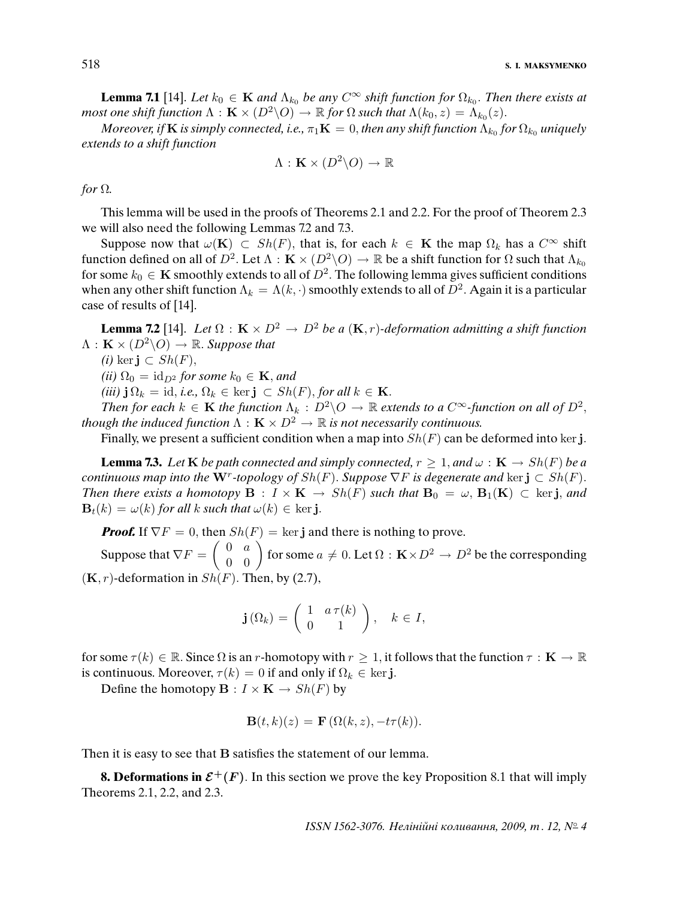518 **S. I. MAKSYMENKO**

**Lemma 7.1** [14]. Let  $k_0 \in \mathbf{K}$  and  $\Lambda_{k_0}$  be any  $C^{\infty}$  shift function for  $\Omega_{k_0}$ . Then there exists at most one shift function  $\Lambda: \mathbf{K}\times (D^2\backslash O)\to \mathbb{R}$  for  $\Omega$  such that  $\Lambda(k_0,z)=\Lambda_{k_0}(z).$ 

Moreover, if  ${\bf K}$  is simply connected, i.e.,  $\pi_1 {\bf K}=0,$  then any shift function  $\Lambda_{k_0}$  for  $\Omega_{k_0}$  uniquely extends to a shift function

$$
\Lambda: \mathbf{K} \times (D^2 \backslash O) \to \mathbb{R}
$$

## for  $\Omega$ .

This lemma will be used in the proofs of Theorems 2.1 and 2.2. For the proof of Theorem 2.3 we will also need the following Lemmas 7.2 and 7.3.

Suppose now that  $\omega(\mathbf{K}) \subset Sh(F)$ , that is, for each  $k \in \mathbf{K}$  the map  $\Omega_k$  has a  $C^{\infty}$  shift function defined on all of  $D^2$ . Let  $\Lambda : K \times (D^2 \backslash O) \to \mathbb{R}$  be a shift function for  $\Omega$  such that  $\Lambda_{k_0}$ for some  $k_0 \in \mathbf{K}$  smoothly extends to all of  $D^2.$  The following lemma gives sufficient conditions when any other shift function  $\Lambda_k = \Lambda(k, \cdot)$  smoothly extends to all of  $D^2$ . Again it is a particular case of results of [14].

**Lemma 7.2** [14]. Let  $\Omega$  :  $\mathbf{K} \times D^2 \to D^2$  be a  $(\mathbf{K}, r)$ -deformation admitting a shift function  $\Lambda : \mathbf{K} \times (D^2 \backslash O) \rightarrow \mathbb{R}$ . Suppose that

(*i*) ker **j** ⊂  $Sh(F)$ ,

(ii)  $\Omega_0 = id_{D^2}$  for some  $k_0 \in \mathbf{K}$ , and

(iii)  $j \Omega_k = id$ , i.e.,  $\Omega_k \in \text{ker } j \subset Sh(F)$ , for all  $k \in K$ .

Then for each  $k \in \mathbf{K}$  the function  $\Lambda_k : D^2 \backslash O \to \mathbb{R}$  extends to a  $C^{\infty}$ -function on all of  $D^2$ , though the induced function  $\Lambda : K \times D^2 \to \mathbb{R}$  is not necessarily continuous.

Finally, we present a sufficient condition when a map into  $Sh(F)$  can be deformed into ker j.

**Lemma 7.3.** Let **K** be path connected and simply connected,  $r \geq 1$ , and  $\omega : \mathbf{K} \to Sh(F)$  be a continuous map into the W<sup>r</sup>-topology of  $Sh(F)$ . Suppose  $\nabla F$  is degenerate and ker  $\mathbf{j} \subset Sh(F)$ . Then there exists a homotopy  $B : I \times K \to Sh(F)$  such that  $B_0 = \omega, B_1(K) \subset \text{ker } j$ , and  $\mathbf{B}_t(k) = \omega(k)$  for all k such that  $\omega(k) \in \text{ker } \mathbf{j}$ .

**Proof.** If  $\nabla F = 0$ , then  $Sh(F) = \ker \mathbf{j}$  and there is nothing to prove.

Suppose that  $\nabla F = \left(\begin{array}{cc} 0 & a \ 0 & 0 \end{array}\right)$  for some  $a\neq 0.$  Let  $\Omega: \mathbf{K}\times D^2\to D^2$  be the corresponding  $(K, r)$ -deformation in  $Sh(F)$ . Then, by (2.7),

$$
\mathbf{j}\left(\Omega_{k}\right) = \left(\begin{array}{cc} 1 & a\,\tau(k) \\ 0 & 1 \end{array}\right), \quad k \in I,
$$

for some  $\tau(k) \in \mathbb{R}$ . Since  $\Omega$  is an r-homotopy with  $r \geq 1$ , it follows that the function  $\tau : \mathbf{K} \to \mathbb{R}$ is continuous. Moreover,  $\tau(k) = 0$  if and only if  $\Omega_k \in \text{ker } \mathbf{j}$ .

Define the homotopy  $\mathbf{B}: I \times \mathbf{K} \to Sh(F)$  by

$$
\mathbf{B}(t,k)(z) = \mathbf{F}(\Omega(k,z), -t\tau(k)).
$$

Then it is easy to see that **B** satisfies the statement of our lemma.

**8. Deformations in**  $\mathcal{E}^+(F)$ **.** In this section we prove the key Proposition 8.1 that will imply Theorems 2.1, 2.2, and 2.3.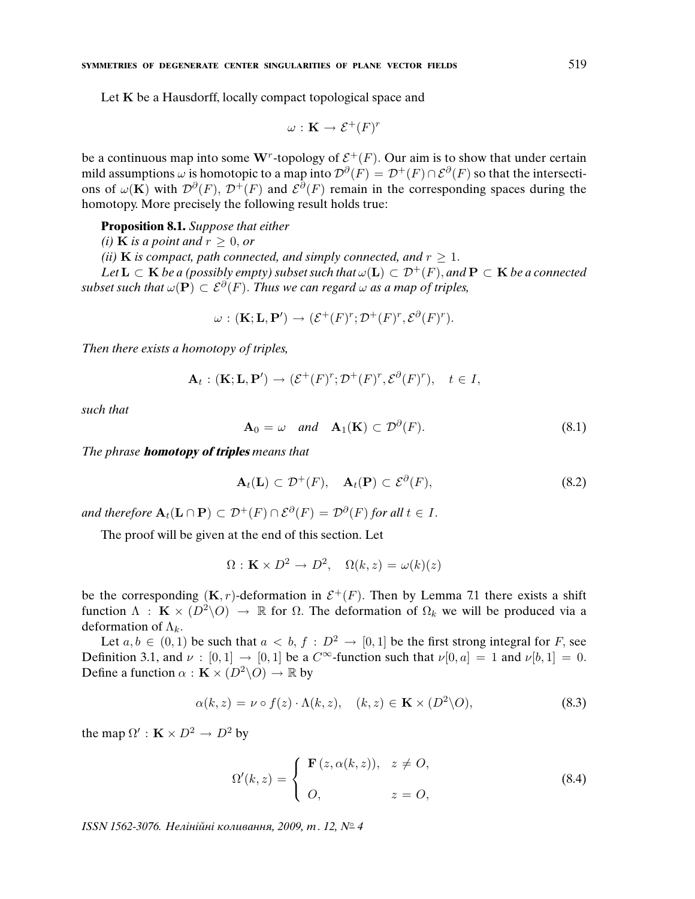Let K be a Hausdorff, locally compact topological space and

$$
\omega: \mathbf{K} \to \mathcal{E}^+(F)^r
$$

be a continuous map into some W<sup>r</sup>-topology of  $\mathcal{E}^+(F)$ . Our aim is to show that under certain mild assumptions  $\omega$  is homotopic to a map into  ${\cal D}^{\partial}(F)={\cal D}^+(F)\cap {\cal E}^{\partial}(F)$  so that the intersections of  $\omega(\mathbf{K})$  with  $\mathcal{D}^{\partial}(F)$ ,  $\mathcal{D}^+(F)$  and  $\mathcal{E}^{\partial}(F)$  remain in the corresponding spaces during the homotopy. More precisely the following result holds true:

**Proposition 8.1.** Suppose that either

(i) **K** is a point and  $r \geq 0$ , or

(ii) **K** is compact, path connected, and simply connected, and  $r \geq 1$ .

Let  $L \subset K$  be a (possibly empty) subset such that  $\omega(L) \subset \mathcal{D}^+(F)$ , and  $P \subset K$  be a connected subset such that  $\omega(\mathbf{P}) \subset \mathcal{E}^{\partial}(F)$ . Thus we can regard  $\omega$  as a map of triples,

$$
\omega: (\mathbf{K}; \mathbf{L}, \mathbf{P}') \to (\mathcal{E}^+(F)^r; \mathcal{D}^+(F)^r, \mathcal{E}^{\partial}(F)^r).
$$

Then there exists a homotopy of triples,

$$
\mathbf{A}_t:(\mathbf{K};\mathbf{L},\mathbf{P}')\to(\mathcal{E}^+(F)^r;\mathcal{D}^+(F)^r,\mathcal{E}^{\partial}(F)^r),\quad t\in I,
$$

such that

$$
\mathbf{A}_0 = \omega \quad \text{and} \quad \mathbf{A}_1(\mathbf{K}) \subset \mathcal{D}^\partial(F). \tag{8.1}
$$

The phrase **homotopy of triples** means that

$$
\mathbf{A}_t(\mathbf{L}) \subset \mathcal{D}^+(F), \quad \mathbf{A}_t(\mathbf{P}) \subset \mathcal{E}^{\partial}(F), \tag{8.2}
$$

and therefore  $\mathbf{A}_t(\mathbf{L} \cap \mathbf{P}) \subset \mathcal{D}^+(F) \cap \mathcal{E}^{\partial}(F) = \mathcal{D}^{\partial}(F)$  for all  $t \in I$ .

The proof will be given at the end of this section. Let

$$
\Omega: \mathbf{K} \times D^2 \to D^2, \quad \Omega(k, z) = \omega(k)(z)
$$

be the corresponding  $(K, r)$ -deformation in  $\mathcal{E}^+(F)$ . Then by Lemma 7.1 there exists a shift function  $\Lambda$  :  $\mathbf{K} \times (D^2 \backslash O) \rightarrow \mathbb{R}$  for  $\Omega$ . The deformation of  $\Omega_k$  we will be produced via a deformation of  $\Lambda_k$ .

Let  $a, b \in (0, 1)$  be such that  $a < b, f : D^2 \to [0, 1]$  be the first strong integral for F, see Definition 3.1, and  $\nu : [0, 1] \rightarrow [0, 1]$  be a  $C^{\infty}$ -function such that  $\nu[0, a] = 1$  and  $\nu[b, 1] = 0$ . Define a function  $\alpha : \mathbf{K} \times (D^2 \backslash O) \to \mathbb{R}$  by

$$
\alpha(k, z) = \nu \circ f(z) \cdot \Lambda(k, z), \quad (k, z) \in \mathbf{K} \times (D^2 \backslash O), \tag{8.3}
$$

the map  $\Omega' : \mathbf{K} \times D^2 \to D^2$  by

$$
\Omega'(k, z) = \begin{cases} \mathbf{F}(z, \alpha(k, z)), & z \neq O, \\ O, & z = O, \end{cases}
$$
\n(8.4)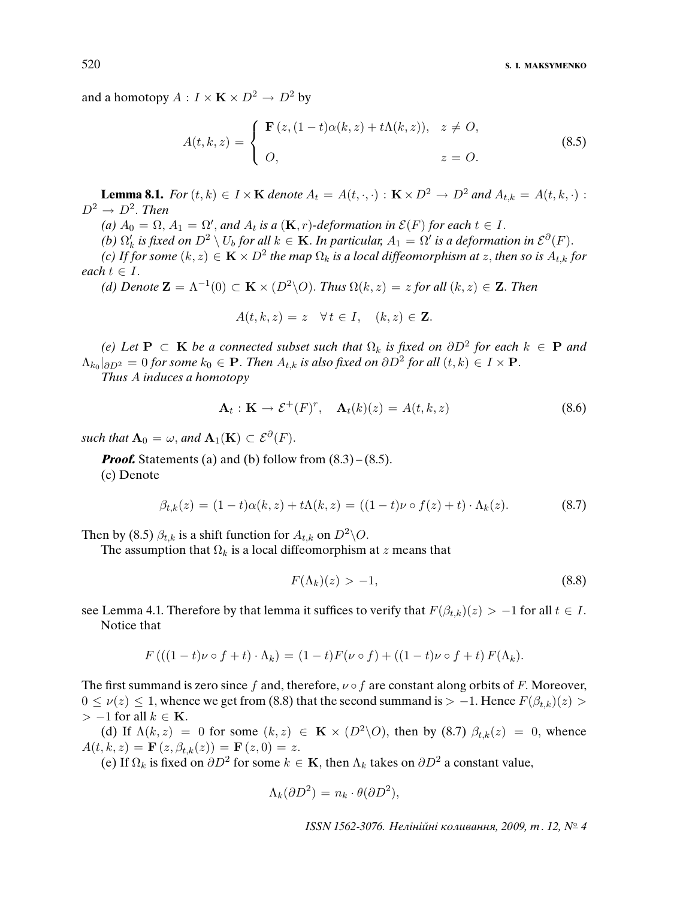and a homotopy  $A: I \times \mathbf{K} \times D^2 \to D^2$  by

$$
A(t,k,z) = \begin{cases} \mathbf{F}(z,(1-t)\alpha(k,z) + t\Lambda(k,z)), & z \neq O, \\ O, & z = O. \end{cases}
$$
(8.5)

**Lemma 8.1.** For  $(t, k) \in I \times \mathbf{K}$  denote  $A_t = A(t, \cdot, \cdot) : \mathbf{K} \times D^2 \to D^2$  and  $A_{t,k} = A(t, k, \cdot)$ :  $D^2 \rightarrow D^2$ . Then

(a)  $A_0 = \Omega$ ,  $A_1 = \Omega'$ , and  $A_t$  is a  $(\mathbf{K}, r)$ -deformation in  $\mathcal{E}(F)$  for each  $t \in I$ .

(b)  $\Omega'_k$  is fixed on  $D^2 \setminus U_b$  for all  $k \in \mathbf{K}$ . In particular,  $A_1 = \Omega'$  is a deformation in  $\mathcal{E}^{\partial}(F)$ .

(c) If for some  $(k, z) \in \mathbf{K} \times D^2$  the map  $\Omega_k$  is a local diffeomorphism at z, then so is  $A_{t,k}$  for each  $t \in I$ .

(d) Denote  $\mathbf{Z} = \Lambda^{-1}(0) \subset \mathbf{K} \times (D^2 \backslash O)$ . Thus  $\Omega(k, z) = z$  for all  $(k, z) \in \mathbf{Z}$ . Then

$$
A(t,k,z) = z \quad \forall \, t \in I, \quad (k,z) \in \mathbf{Z}.
$$

(e) Let **P** ⊂ **K** be a connected subset such that  $\Omega_k$  is fixed on  $\partial D^2$  for each  $k \in$  **P** and  $\Lambda_{k_0}|_{\partial D^2} = 0$  for some  $k_0 \in \mathbf{P}$ . Then  $A_{t,k}$  is also fixed on  $\partial D^2$  for all  $(t, k) \in I \times \mathbf{P}$ .

Thus A induces a homotopy

$$
\mathbf{A}_t : \mathbf{K} \to \mathcal{E}^+(F)^r, \quad \mathbf{A}_t(k)(z) = A(t, k, z) \tag{8.6}
$$

such that  ${\bf A}_0=\omega$ , and  ${\bf A}_1({\bf K})\subset \mathcal{E}^\partial(F)$ .

*Proof.* Statements (a) and (b) follow from  $(8.3)$  –  $(8.5)$ . (c) Denote

$$
\beta_{t,k}(z) = (1-t)\alpha(k,z) + t\Lambda(k,z) = ((1-t)\nu \circ f(z) + t) \cdot \Lambda_k(z). \tag{8.7}
$$

Then by (8.5)  $\beta_{t,k}$  is a shift function for  $A_{t,k}$  on  $D^2\backslash O$ .

The assumption that  $\Omega_k$  is a local diffeomorphism at z means that

$$
F(\Lambda_k)(z) > -1,\tag{8.8}
$$

see Lemma 4.1. Therefore by that lemma it suffices to verify that  $F(\beta_{t,k})(z) > -1$  for all  $t \in I$ . Notice that

$$
F\left(((1-t)\nu\circ f+t)\cdot\Lambda_k\right)=(1-t)F(\nu\circ f)+((1-t)\nu\circ f+t)F(\Lambda_k).
$$

The first summand is zero since f and, therefore,  $\nu \circ f$  are constant along orbits of F. Moreover,  $0 \le \nu(z) \le 1$ , whence we get from (8.8) that the second summand is > -1. Hence  $F(\beta_{t,k})(z)$  >  $> -1$  for all  $k \in \mathbf{K}$ .

(d) If  $\Lambda(k, z) = 0$  for some  $(k, z) \in \mathbf{K} \times (D^2 \backslash O)$ , then by (8.7)  $\beta_{t,k}(z) = 0$ , whence  $A(t, k, z) = \mathbf{F}(z, \beta_{t,k}(z)) = \mathbf{F}(z, 0) = z.$ 

(e) If  $\Omega_k$  is fixed on  $\partial D^2$  for some  $k \in \mathbf{K}$ , then  $\Lambda_k$  takes on  $\partial D^2$  a constant value,

$$
\Lambda_k(\partial D^2) = n_k \cdot \theta(\partial D^2),
$$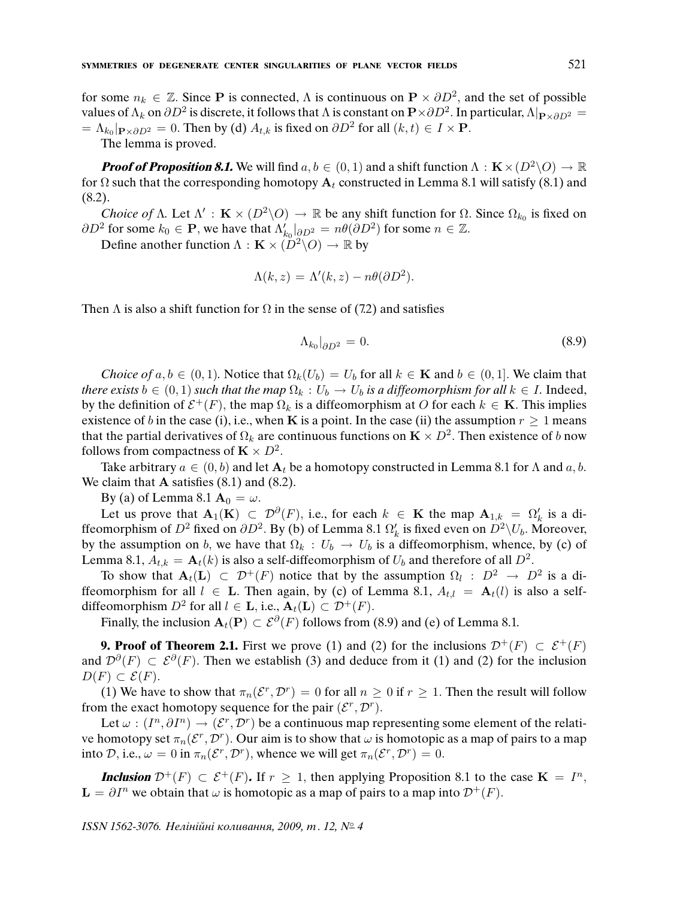for some  $n_k \in \mathbb{Z}$ . Since P is connected,  $\Lambda$  is continuous on  $\mathbf{P} \times \partial D^2$ , and the set of possible values of  $\Lambda_k$  on  $\partial D^2$  is discrete, it follows that  $\Lambda$  is constant on  ${\bf P}\times \partial D^2.$  In particular,  $\Lambda|_{{\bf P}\times \partial D^2}=$  $= \Lambda_{k_0}|_{\mathbf{P}\times \partial D^2} = 0$ . Then by (d)  $A_{t,k}$  is fixed on  $\partial D^2$  for all  $(k,t) \in I \times \mathbf{P}$ .

The lemma is proved.

**Proof of Proposition 8.1.** We will find  $a, b \in (0, 1)$  and a shift function  $\Lambda : K \times (D^2 \backslash O) \to \mathbb{R}$ for  $\Omega$  such that the corresponding homotopy  $A_t$  constructed in Lemma 8.1 will satisfy (8.1) and (8.2).

Choice of Λ. Let  $\Lambda'$ : **K** ×  $(D^2 \setminus O) \to \mathbb{R}$  be any shift function for Ω. Since  $\Omega_{k_0}$  is fixed on  $\partial D^2$  for some  $k_0 \in \mathbf{P}$ , we have that  $\Lambda'_{k_0}|_{\partial D^2} = n\theta(\partial D^2)$  for some  $n \in \mathbb{Z}$ .

Define another function  $\Lambda : \mathbf{K} \times (D^2 \backslash O) \to \mathbb{R}$  by

$$
\Lambda(k, z) = \Lambda'(k, z) - n\theta(\partial D^2).
$$

Then  $\Lambda$  is also a shift function for  $\Omega$  in the sense of (7.2) and satisfies

$$
\Lambda_{k_0}|_{\partial D^2} = 0. \tag{8.9}
$$

Choice of  $a, b \in (0, 1)$ . Notice that  $\Omega_k(U_b) = U_b$  for all  $k \in \mathbf{K}$  and  $b \in (0, 1]$ . We claim that there exists  $b \in (0, 1)$  such that the map  $\Omega_k : U_b \to U_b$  is a diffeomorphism for all  $k \in I$ . Indeed, by the definition of  $\mathcal{E}^+(F)$ , the map  $\Omega_k$  is a diffeomorphism at O for each  $k \in \mathbf{K}$ . This implies existence of b in the case (i), i.e., when K is a point. In the case (ii) the assumption  $r \ge 1$  means that the partial derivatives of  $\Omega_k$  are continuous functions on  $\mathbf{K}\times D^2.$  Then existence of  $b$  now follows from compactness of  $\mathbf{K} \times D^2$ .

Take arbitrary  $a \in (0, b)$  and let  $A_t$  be a homotopy constructed in Lemma 8.1 for  $\Lambda$  and  $a, b$ . We claim that  $\bf{A}$  satisfies (8.1) and (8.2).

By (a) of Lemma 8.1  $A_0 = \omega$ .

Let us prove that  $\mathbf{A}_1(\mathbf{K}) \subset \mathcal{D}^{\partial}(F)$ , i.e., for each  $k \in \mathbf{K}$  the map  $\mathbf{A}_{1,k} = \Omega'_k$  is a diffeomorphism of  $D^2$  fixed on  $\partial D^2$ . By (b) of Lemma 8.1  $\Omega'_k$  is fixed even on  $D^2\setminus U_b$ . Moreover, by the assumption on b, we have that  $\Omega_k : U_b \to U_b$  is a diffeomorphism, whence, by (c) of Lemma 8.1,  $A_{t,k} = \mathbf{A}_t(k)$  is also a self-diffeomorphism of  $U_b$  and therefore of all  $D^2$ .

To show that  $A_t(L) \subset \mathcal{D}^+(F)$  notice that by the assumption  $\Omega_l : D^2 \to D^2$  is a diffeomorphism for all  $l \in L$ . Then again, by (c) of Lemma 8.1,  $A_{t,l} = A_t(l)$  is also a selfdiffeomorphism  $D^2$  for all  $l \in \mathbf{L}$ , i.e.,  $\mathbf{A}_t(\mathbf{L}) \subset \mathcal{D}^+(F)$ .

Finally, the inclusion  $\mathbf{A}_t(\mathbf{P}) \subset \mathcal{E}^{\partial}(F)$  follows from (8.9) and (e) of Lemma 8.1.

**9. Proof of Theorem 2.1.** First we prove (1) and (2) for the inclusions  $\mathcal{D}^+(F) \subset \mathcal{E}^+(F)$ and  $\mathcal{D}^{\partial}(F) \subset \mathcal{E}^{\partial}(F)$ . Then we establish (3) and deduce from it (1) and (2) for the inclusion  $D(F) \subset \mathcal{E}(F)$ .

(1) We have to show that  $\pi_n(\mathcal{E}^r, \mathcal{D}^r) = 0$  for all  $n \geq 0$  if  $r \geq 1$ . Then the result will follow from the exact homotopy sequence for the pair  $(\mathcal{E}^r, \mathcal{D}^r)$ .

Let  $\omega: (I^n, \partial I^n) \to (\mathcal{E}^r, \mathcal{D}^r)$  be a continuous map representing some element of the relative homotopy set  $\pi_n(\mathcal{E}^r, \mathcal{D}^r)$ . Our aim is to show that  $\omega$  is homotopic as a map of pairs to a map into D, i.e.,  $\omega = 0$  in  $\pi_n(\mathcal{E}^r, \mathcal{D}^r)$ , whence we will get  $\pi_n(\mathcal{E}^r, \mathcal{D}^r) = 0$ .

**Inclusion**  $\mathcal{D}^+(F) \subset \mathcal{E}^+(F)$ . If  $r \geq 1$ , then applying Proposition 8.1 to the case  $\mathbf{K} = I^n$ ,  $\mathbf{L} = \partial I^n$  we obtain that  $\omega$  is homotopic as a map of pairs to a map into  $\mathcal{D}^+(F)$ .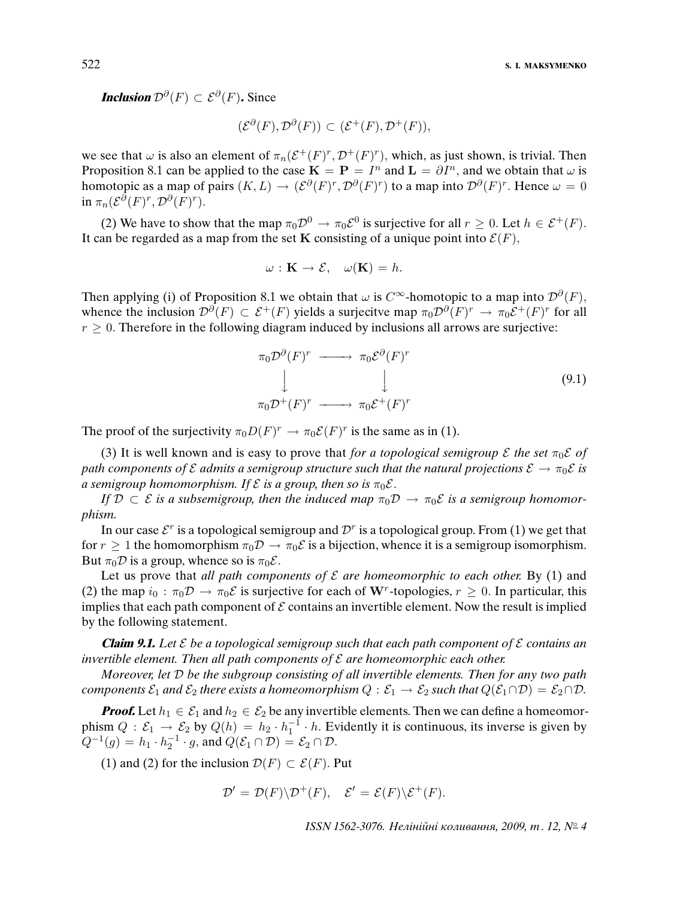522 **S. I. MAKSYMENKO**

**Inclusion**  $\mathcal{D}^{\partial}(F) \subset \mathcal{E}^{\partial}(F)$ . Since

$$
(\mathcal{E}^{\partial}(F), \mathcal{D}^{\partial}(F)) \subset (\mathcal{E}^+(F), \mathcal{D}^+(F)),
$$

we see that  $\omega$  is also an element of  $\pi_n(\mathcal{E}^+(F)^r, \mathcal{D}^+(F)^r)$ , which, as just shown, is trivial. Then Proposition 8.1 can be applied to the case  $\mathbf{K} = \mathbf{P} = I^n$  and  $\mathbf{L} = \partial I^n$ , and we obtain that  $\omega$  is homotopic as a map of pairs  $(K, L) \to (\mathcal{E}^{\partial}(F)^r, \mathcal{D}^{\partial}(F)^r)$  to a map into  $\mathcal{D}^{\partial}(F)^r$ . Hence  $\omega = 0$ in  $\pi_n(\mathcal{E}^{\partial}(F)^r, \mathcal{D}^{\partial}(F)^r)$ .

(2) We have to show that the map  $\pi_0 \mathcal{D}^0 \to \pi_0 \mathcal{E}^0$  is surjective for all  $r \geq 0$ . Let  $h \in \mathcal{E}^+(F)$ . It can be regarded as a map from the set K consisting of a unique point into  $\mathcal{E}(F)$ ,

$$
\omega: \mathbf{K} \to \mathcal{E}, \quad \omega(\mathbf{K}) = h.
$$

Then applying (i) of Proposition 8.1 we obtain that  $\omega$  is  $C^{\infty}$ -homotopic to a map into  $\mathcal{D}^{\partial}(F)$ , whence the inclusion  $\mathcal{D}^{\partial}(F) \subset \mathcal{E}^+(F)$  yields a surjecitve map  $\pi_0 \mathcal{D}^{\partial}(F)^r \to \pi_0 \mathcal{E}^+(F)^r$  for all  $r \geq 0$ . Therefore in the following diagram induced by inclusions all arrows are surjective:

$$
\pi_0 \mathcal{D}^{\partial}(F)^r \longrightarrow \pi_0 \mathcal{E}^{\partial}(F)^r
$$
\n
$$
\downarrow \qquad \qquad \downarrow
$$
\n
$$
\pi_0 \mathcal{D}^+(F)^r \longrightarrow \pi_0 \mathcal{E}^+(F)^r
$$
\n(9.1)

The proof of the surjectivity  $\pi_0 D(F)^r \to \pi_0 \mathcal{E}(F)^r$  is the same as in (1).

(3) It is well known and is easy to prove that for a topological semigroup  $\mathcal E$  the set  $\pi_0 \mathcal E$  of path components of E admits a semigroup structure such that the natural projections  $\mathcal{E} \to \pi_0 \mathcal{E}$  is a semigroup homomorphism. If  $\mathcal E$  is a group, then so is  $\pi_0 \mathcal E$ .

If  $\mathcal{D} \subset \mathcal{E}$  is a subsemigroup, then the induced map  $\pi_0 \mathcal{D} \to \pi_0 \mathcal{E}$  is a semigroup homomorphism.

In our case  $\mathcal{E}^r$  is a topological semigroup and  $\mathcal{D}^r$  is a topological group. From (1) we get that for  $r \geq 1$  the homomorphism  $\pi_0 \mathcal{D} \to \pi_0 \mathcal{E}$  is a bijection, whence it is a semigroup isomorphism. But  $\pi_0 \mathcal{D}$  is a group, whence so is  $\pi_0 \mathcal{E}$ .

Let us prove that all path components of  $\mathcal E$  are homeomorphic to each other. By (1) and (2) the map  $i_0 : \pi_0 \mathcal{D} \to \pi_0 \mathcal{E}$  is surjective for each of W<sup>r</sup>-topologies,  $r \geq 0$ . In particular, this implies that each path component of  $\mathcal E$  contains an invertible element. Now the result is implied by the following statement.

**Claim 9.1.** Let  $\mathcal{E}$  be a topological semigroup such that each path component of  $\mathcal{E}$  contains an invertible element. Then all path components of  ${\cal E}$  are homeomorphic each other.

Moreover, let D be the subgroup consisting of all invertible elements. Then for any two path components  $\mathcal{E}_1$  and  $\mathcal{E}_2$  there exists a homeomorphism  $Q : \mathcal{E}_1 \to \mathcal{E}_2$  such that  $Q(\mathcal{E}_1 \cap \mathcal{D}) = \mathcal{E}_2 \cap \mathcal{D}$ .

**Proof.** Let  $h_1 \in \mathcal{E}_1$  and  $h_2 \in \mathcal{E}_2$  be any invertible elements. Then we can define a homeomorphism  $Q: \mathcal{E}_1 \to \mathcal{E}_2$  by  $Q(h) = h_2 \cdot h_1^{-1} \cdot h$ . Evidently it is continuous, its inverse is given by  $Q^{-1}(g) = h_1 \cdot h_2^{-1} \cdot g$ , and  $Q(\mathcal{E}_1 \cap \mathcal{D}) = \mathcal{E}_2 \cap \mathcal{D}$ .

(1) and (2) for the inclusion  $\mathcal{D}(F) \subset \mathcal{E}(F)$ . Put

$$
\mathcal{D}' = \mathcal{D}(F) \backslash \mathcal{D}^+(F), \quad \mathcal{E}' = \mathcal{E}(F) \backslash \mathcal{E}^+(F).
$$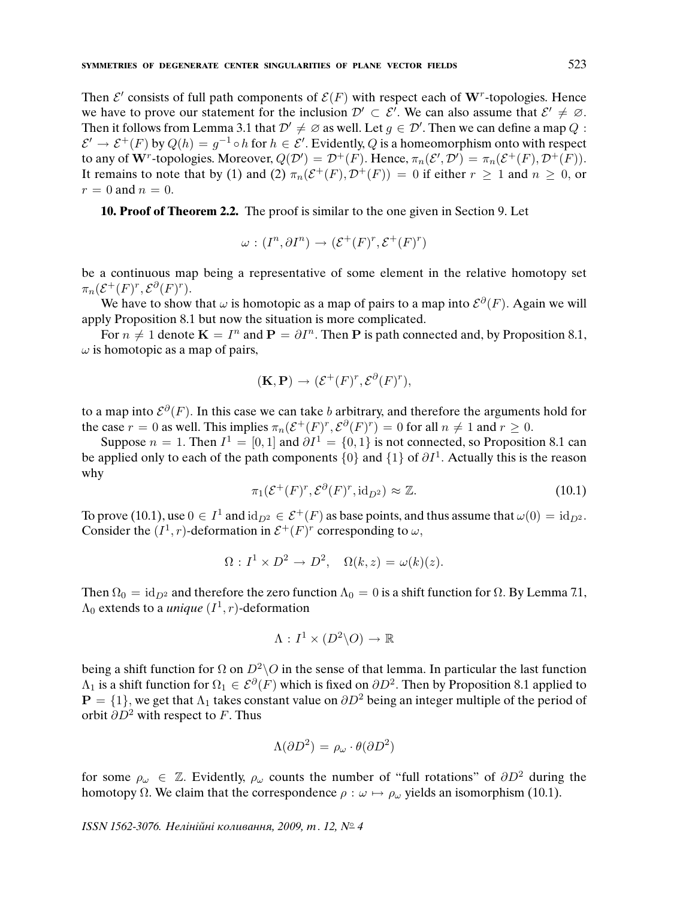Then  $\mathcal{E}'$  consists of full path components of  $\mathcal{E}(F)$  with respect each of W<sup>r</sup>-topologies. Hence we have to prove our statement for the inclusion  $\mathcal{D}' \subset \mathcal{E}'$ . We can also assume that  $\mathcal{E}' \neq \emptyset$ . Then it follows from Lemma 3.1 that  $\mathcal{D}' \neq \emptyset$  as well. Let  $g \in \mathcal{D}'$ . Then we can define a map  $Q$ :  $\mathcal{E}' \to \mathcal{E}^+(F)$  by  $Q(h) = g^{-1} \circ h$  for  $h \in \mathcal{E}'$ . Evidently, Q is a homeomorphism onto with respect to any of  $\mathbf{W}^r$ -topologies. Moreover,  $Q(\mathcal{D}') = \mathcal{D}^+(F)$ . Hence,  $\pi_n(\mathcal{E}', \mathcal{D}') = \pi_n(\mathcal{E}^+(F), \mathcal{D}^+(F))$ . It remains to note that by (1) and (2)  $\pi_n(\mathcal{E}^+(F), \mathcal{D}^+(F)) = 0$  if either  $r \geq 1$  and  $n \geq 0$ , or  $r = 0$  and  $n = 0$ .

**10. Proof of Theorem 2.2.** The proof is similar to the one given in Section 9. Let

$$
\omega : (I^n, \partial I^n) \to (\mathcal{E}^+(F)^r, \mathcal{E}^+(F)^r)
$$

be a continuous map being a representative of some element in the relative homotopy set  $\pi_n(\mathcal{E}^+(F)^r, \mathcal{E}^{\partial}(F)^r).$ 

We have to show that  $\omega$  is homotopic as a map of pairs to a map into  $\mathcal{E}^{\partial}(F)$ . Again we will apply Proposition 8.1 but now the situation is more complicated.

For  $n \neq 1$  denote  $\mathbf{K} = I^n$  and  $\mathbf{P} = \partial I^n$ . Then P is path connected and, by Proposition 8.1,  $\omega$  is homotopic as a map of pairs,

$$
(\mathbf{K}, \mathbf{P}) \to (\mathcal{E}^+(F)^r, \mathcal{E}^{\partial}(F)^r),
$$

to a map into  $\mathcal{E}^{\partial}(F)$ . In this case we can take b arbitrary, and therefore the arguments hold for the case  $r = 0$  as well. This implies  $\pi_n(\mathcal{E}^+(F)^r, \mathcal{E}^{\partial}(F)^r) = 0$  for all  $n \neq 1$  and  $r \geq 0$ .

Suppose  $n = 1$ . Then  $I^1 = [0, 1]$  and  $\partial I^1 = \{0, 1\}$  is not connected, so Proposition 8.1 can be applied only to each of the path components  $\{0\}$  and  $\{1\}$  of  $\partial I^1$ . Actually this is the reason why

$$
\pi_1(\mathcal{E}^+(F)^r, \mathcal{E}^{\partial}(F)^r, \mathrm{id}_{D^2}) \approx \mathbb{Z}.
$$
 (10.1)

To prove (10.1), use  $0 \in I^1$  and  $\mathrm{id}_{D^2} \in \mathcal{E}^+(F)$  as base points, and thus assume that  $\omega(0) = \mathrm{id}_{D^2}$ . Consider the  $(I^1, r)$ -deformation in  $\mathcal{E}^+(F)^r$  corresponding to  $\omega$ ,

$$
\Omega: I^1 \times D^2 \to D^2, \quad \Omega(k, z) = \omega(k)(z).
$$

Then  $\Omega_0 = id_{D^2}$  and therefore the zero function  $\Lambda_0 = 0$  is a shift function for  $\Omega$ . By Lemma 7.1,  $\Lambda_0$  extends to a *unique*  $(I^1,r)$ -deformation

$$
\Lambda: I^1 \times (D^2 \backslash O) \to \mathbb{R}
$$

being a shift function for  $\Omega$  on  $D^2 \setminus O$  in the sense of that lemma. In particular the last function  $\Lambda_1$  is a shift function for  $\Omega_1\in{\cal E}^\partial(F)$  which is fixed on  $\partial D^2.$  Then by Proposition 8.1 applied to  $P = \{1\}$ , we get that  $\Lambda_1$  takes constant value on  $\partial D^2$  being an integer multiple of the period of orbit  $\partial D^2$  with respect to F. Thus

$$
\Lambda(\partial D^2) = \rho_\omega \cdot \theta(\partial D^2)
$$

for some  $\rho_{\omega} \in \mathbb{Z}$ . Evidently,  $\rho_{\omega}$  counts the number of "full rotations" of  $\partial D^2$  during the homotopy  $\Omega$ . We claim that the correspondence  $\rho : \omega \mapsto \rho_{\omega}$  yields an isomorphism (10.1).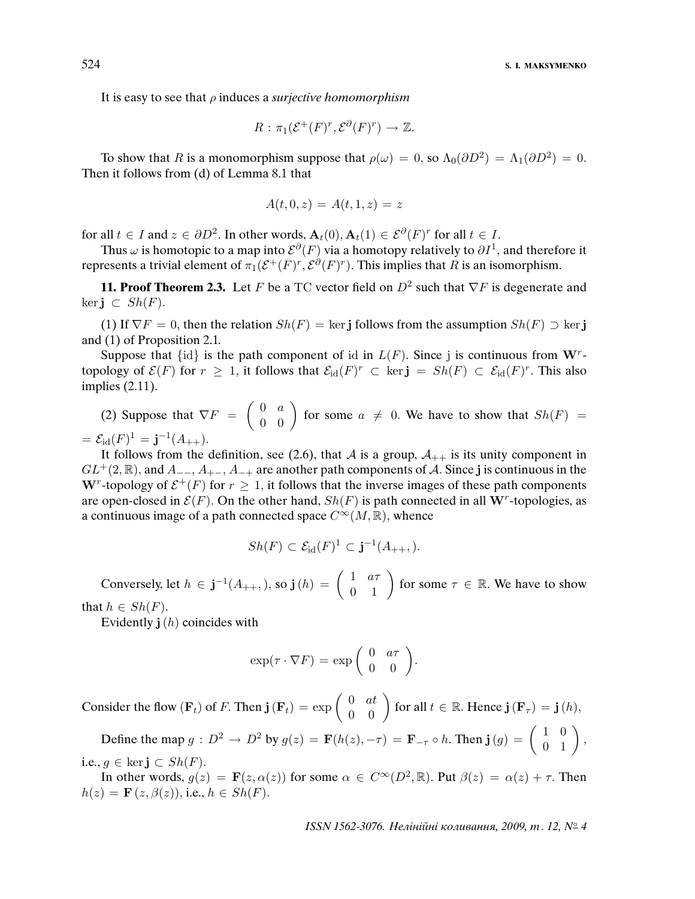It is easy to see that  $\rho$  induces a *surjective homomorphism* 

$$
R: \pi_1(\mathcal{E}^+(F)^r, \mathcal{E}^{\partial}(F)^r) \to \mathbb{Z}.
$$

To show that R is a monomorphism suppose that  $\rho(\omega) = 0$ , so  $\Lambda_0(\partial D^2) = \Lambda_1(\partial D^2) = 0$ . Then it follows from (d) of Lemma 8.1 that

$$
A(t,0,z) = A(t,1,z) = z
$$

for all  $t \in I$  and  $z \in \partial D^2$ . In other words,  $\mathbf{A}_t(0), \mathbf{A}_t(1) \in \mathcal{E}^{\partial}(F)^r$  for all  $t \in I$ .

Thus  $\omega$  is homotopic to a map into  $\mathcal{E}^\partial(F)$  via a homotopy relatively to  $\partial I^1,$  and therefore it represents a trivial element of  $\pi_1(\mathcal{E}^+(F)^r, \mathcal{E}^{\partial}(F)^r)$ . This implies that R is an isomorphism.

**11. Proof Theorem 2.3.** Let F be a TC vector field on  $D^2$  such that  $\nabla F$  is degenerate and ker**i** ⊂  $Sh(F)$ .

(1) If  $\nabla F = 0$ , then the relation  $Sh(F) = \ker j$  follows from the assumption  $Sh(F) \supset \ker j$ and (1) of Proposition 2.1.

Suppose that  $\{id\}$  is the path component of id in  $L(F)$ . Since j is continuous from W<sup>r</sup>topology of  $\mathcal{E}(F)$  for  $r \geq 1$ , it follows that  $\mathcal{E}_{\text{id}}(F)^r \subset \text{ker } \mathbf{j} = Sh(F) \subset \mathcal{E}_{\text{id}}(F)^r$ . This also implies (2.11).

(2) Suppose that  $\nabla F = \begin{pmatrix} 0 & a \\ 0 & 0 \end{pmatrix}$  for some  $a \neq 0$ . We have to show that  $Sh(F) =$  $= \mathcal{E}_{\text{id}}(F)^1 = \mathbf{j}^{-1}(A_{++}).$ 

It follows from the definition, see (2.6), that A is a group,  $A_{++}$  is its unity component in  $GL^+(2,\mathbb{R})$ , and  $A_{-+}, A_{++}, A_{-+}$  are another path components of A. Since j is continuous in the W<sup>r</sup>-topology of  $\mathcal{E}^+(F)$  for  $r \geq 1$ , it follows that the inverse images of these path components are open-closed in  $\mathcal{E}(F)$ . On the other hand,  $Sh(F)$  is path connected in all W<sup>r</sup>-topologies, as a continuous image of a path connected space  $C^{\infty}(M,\mathbb{R})$ , whence

$$
Sh(F) \subset \mathcal{E}_{\text{id}}(F)^1 \subset \mathbf{j}^{-1}(A_{++},).
$$

Conversely, let  $h \in \mathbf{j}^{-1}(A_{++}),$  so  $\mathbf{j}(h) = \begin{pmatrix} 1 & a\tau \\ 0 & 1 \end{pmatrix}$  for some  $\tau \in \mathbb{R}$ . We have to show

that  $h \in Sh(F)$ .

Evidently  $\mathbf{j}(h)$  coincides with

$$
\exp(\tau \cdot \nabla F) = \exp\left(\begin{array}{cc} 0 & a\tau \\ 0 & 0 \end{array}\right).
$$

Consider the flow  $(\mathbf{F}_t)$  of F. Then  $\mathbf{j}(\mathbf{F}_t) = \exp \left( \begin{array}{cc} 0 & at \\ 0 & 0 \end{array} \right)$  for all  $t \in \mathbb{R}$ . Hence  $\mathbf{j}(\mathbf{F}_\tau) = \mathbf{j}(h)$ ,

Define the map  $g: D^2 \to D^2$  by  $g(z) = \mathbf{F}(h(z), -\tau) = \mathbf{F}_{-\tau} \circ h$ . Then  $\mathbf{j}(g) = \begin{pmatrix} 1 & 0 \\ 0 & 1 \end{pmatrix}$ , i.e.,  $g \in \text{ker } \mathbf{j} \subset Sh(F)$ .

In other words,  $g(z) = \mathbf{F}(z, \alpha(z))$  for some  $\alpha \in C^{\infty}(D^2, \mathbb{R})$ . Put  $\beta(z) = \alpha(z) + \tau$ . Then  $h(z) = \mathbf{F}(z, \beta(z)),$  i.e.,  $h \in Sh(F)$ .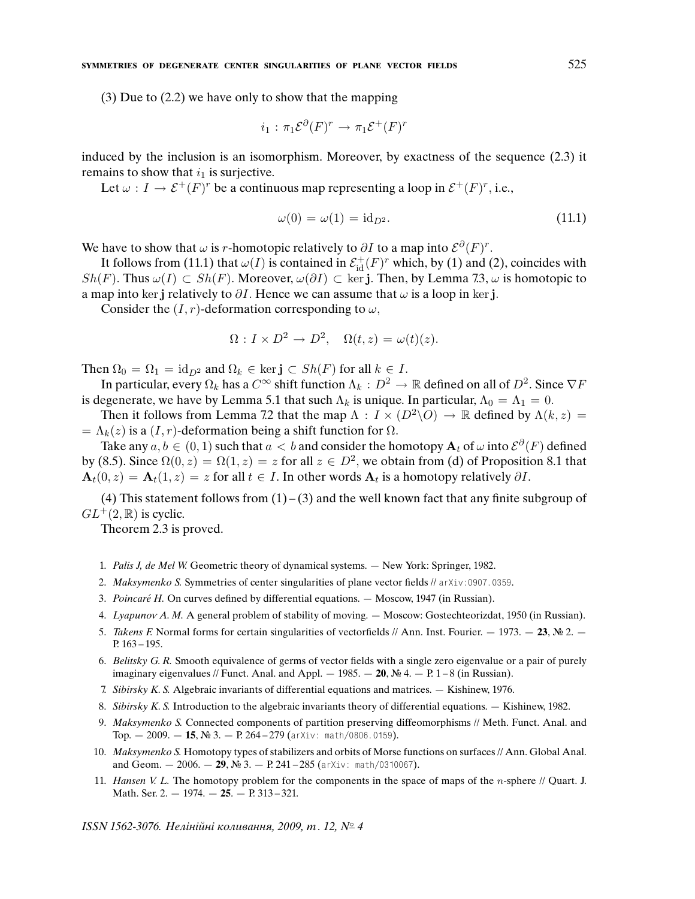(3) Due to (2.2) we have only to show that the mapping

$$
i_1 : \pi_1 \mathcal{E}^{\partial}(F)^r \to \pi_1 \mathcal{E}^+(F)^r
$$

induced by the inclusion is an isomorphism. Moreover, by exactness of the sequence (2.3) it remains to show that  $i_1$  is surjective.

Let  $\omega : I \to \mathcal{E}^+(F)^r$  be a continuous map representing a loop in  $\mathcal{E}^+(F)^r$ , i.e.,

$$
\omega(0) = \omega(1) = \mathrm{id}_{D^2}.\tag{11.1}
$$

We have to show that  $\omega$  is r-homotopic relatively to  $\partial I$  to a map into  $\mathcal{E}^{\partial}(F)^{r}$ .

It follows from (11.1) that  $\omega(I)$  is contained in  $\mathcal{E}^+_{{\rm id}}(F)^r$  which, by (1) and (2), coincides with  $Sh(F)$ . Thus  $\omega(I) \subset Sh(F)$ . Moreover,  $\omega(\partial I) \subset \text{ker } \mathbf{j}$ . Then, by Lemma 7.3,  $\omega$  is homotopic to a map into ker j relatively to  $\partial I$ . Hence we can assume that  $\omega$  is a loop in ker j.

Consider the  $(I, r)$ -deformation corresponding to  $\omega$ ,

$$
\Omega: I \times D^2 \to D^2, \quad \Omega(t, z) = \omega(t)(z).
$$

Then  $\Omega_0 = \Omega_1 = \text{id}_{D^2}$  and  $\Omega_k \in \text{ker} \mathbf{j} \subset Sh(F)$  for all  $k \in I$ .

In particular, every  $\Omega_k$  has a  $C^\infty$  shift function  $\Lambda_k: D^2 \to \mathbb{R}$  defined on all of  $D^2.$  Since  $\nabla F$ is degenerate, we have by Lemma 5.1 that such  $\Lambda_k$  is unique. In particular,  $\Lambda_0 = \Lambda_1 = 0$ .

Then it follows from Lemma 7.2 that the map  $\Lambda : I \times (D^2 \backslash O) \to \mathbb{R}$  defined by  $\Lambda(k, z) =$ =  $\Lambda_k(z)$  is a  $(I, r)$ -deformation being a shift function for  $\Omega$ .

Take any  $a,b\in(0,1)$  such that  $a < b$  and consider the homotopy  $\mathbf{A}_t$  of  $\omega$  into  $\mathcal{E}^\partial(F)$  defined by (8.5). Since  $\Omega(0, z) = \Omega(1, z) = z$  for all  $z \in D^2$ , we obtain from (d) of Proposition 8.1 that  $\mathbf{A}_t(0, z) = \mathbf{A}_t(1, z) = z$  for all  $t \in I$ . In other words  $\mathbf{A}_t$  is a homotopy relatively  $\partial I$ .

(4) This statement follows from  $(1)$  – (3) and the well known fact that any finite subgroup of  $GL^+(2,\mathbb{R})$  is cyclic.

Theorem 2.3 is proved.

- 1. Palis J, de Mel W. Geometric theory of dynamical systems. New York: Springer, 1982.
- 2. Maksymenko S. Symmetries of center singularities of plane vector fields // arXiv:0907.0359.
- 3. Poincaré H. On curves defined by differential equations.  $-$  Moscow, 1947 (in Russian).
- 4. Lyapunov A. M. A general problem of stability of moving. Moscow: Gostechteorizdat, 1950 (in Russian).
- 5. Takens F. Normal forms for certain singularities of vectorfields // Ann. Inst. Fourier.  $-$  1973.  $-$  **23**, № 2.  $-$ P. 163 – 195.
- 6. Belitsky G. R. Smooth equivalence of germs of vector fields with a single zero eigenvalue or a pair of purely imaginary eigenvalues // Funct. Anal. and Appl.  $-1985. -20$ , № 4.  $-$  P. 1 – 8 (in Russian).
- 7. Sibirsky K. S. Algebraic invariants of differential equations and matrices. Kishinew, 1976.
- 8. Sibirsky K. S. Introduction to the algebraic invariants theory of differential equations. Kishinew, 1982.
- 9. Maksymenko S. Connected components of partition preserving diffeomorphisms // Meth. Funct. Anal. and Top. — 2009. — **15**, № 3. — P. 264 – 279 (arXiv: math/0806.0159).
- 10. Maksymenko S. Homotopy types of stabilizers and orbits of Morse functions on surfaces // Ann. Global Anal. and Geom.  $-2006. - 29$ , № 3.  $-$  P. 241 – 285 (arXiv: math/0310067).
- 11. Hansen V. L. The homotopy problem for the components in the space of maps of the n-sphere  $\#$  Quart. J. Math. Ser. 2. — 1974. — **25**. — P. 313 – 321.